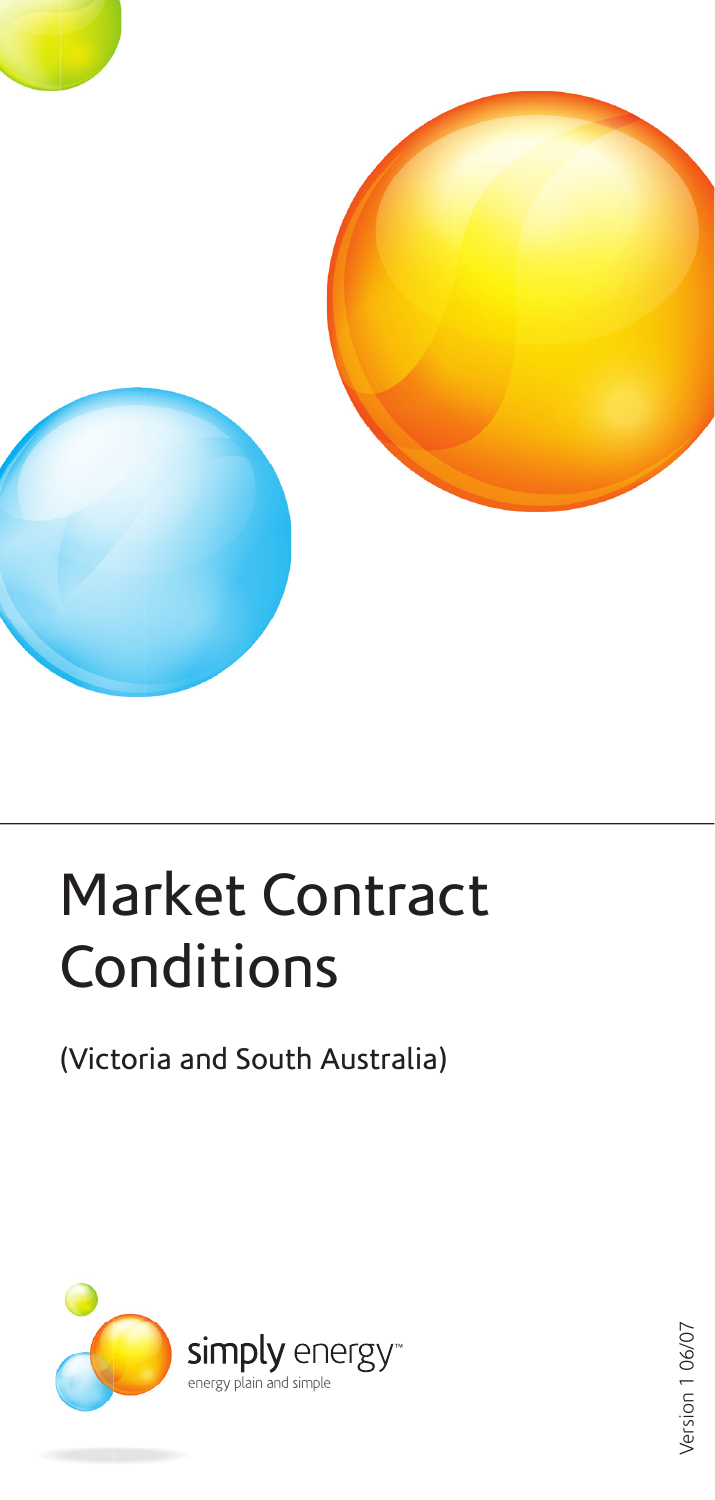

# Market Contract **Conditions**

## (Victoria and South Australia)



Version 106/07 Version 1 06/07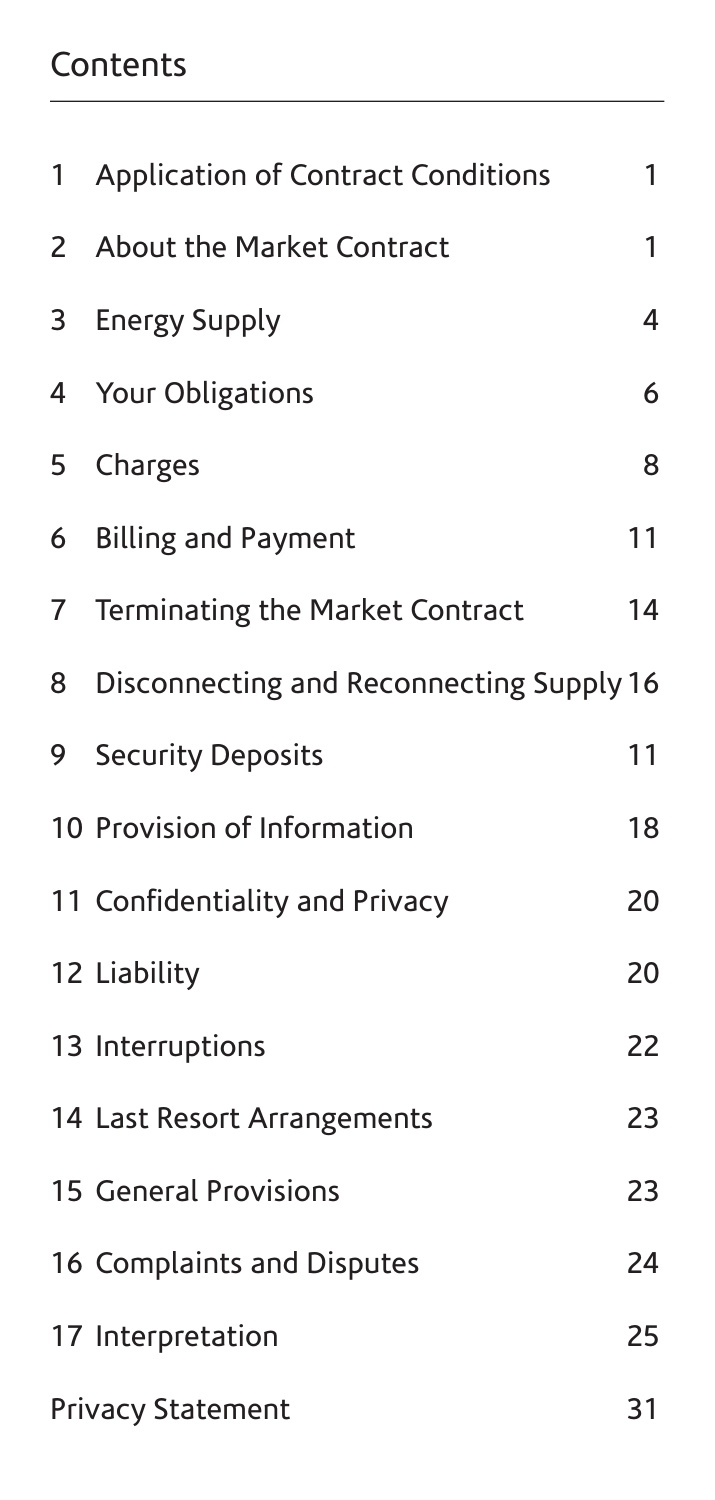## **Contents**

| 1              | <b>Application of Contract Conditions</b> | 1  |
|----------------|-------------------------------------------|----|
| $\overline{2}$ | About the Market Contract                 | 1  |
| 3              | <b>Energy Supply</b>                      | 4  |
| 4              | Your Obligations                          | 6  |
| 5              | Charges                                   | 8  |
| 6              | <b>Billing and Payment</b>                | 11 |
| $\overline{7}$ | Terminating the Market Contract           | 14 |
| 8              | Disconnecting and Reconnecting Supply 16  |    |
| 9              | <b>Security Deposits</b>                  | 11 |
|                | 10 Provision of Information               | 18 |
|                | 11 Confidentiality and Privacy            | 20 |
|                | 12 Liability                              | 20 |
|                | 13 Interruptions                          | 22 |
|                | 14 Last Resort Arrangements               | 23 |
|                | <b>15 General Provisions</b>              | 23 |
|                | 16 Complaints and Disputes                | 24 |
|                | 17 Interpretation                         | 25 |
|                | Privacy Statement                         | 31 |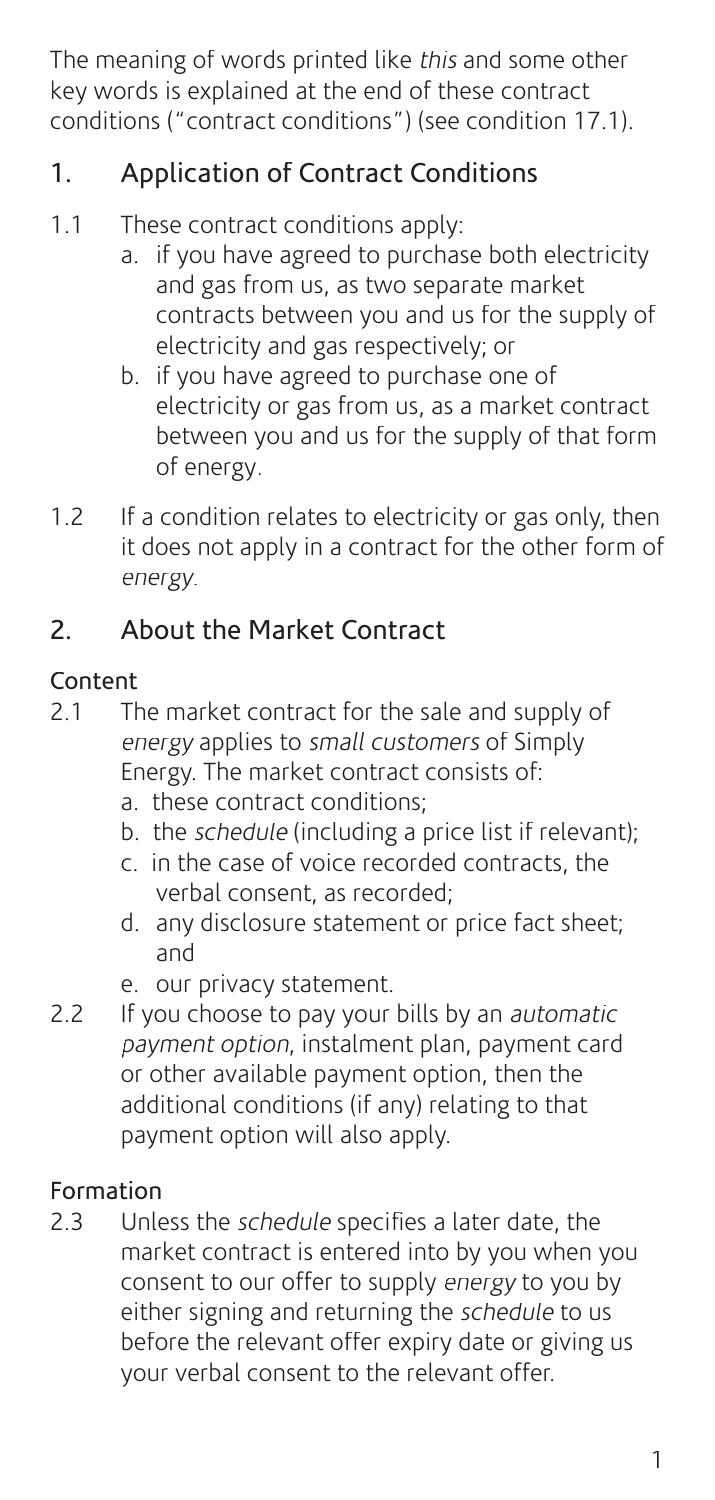The meaning of words printed like this and some other key words is explained at the end of these contract conditions ("contract conditions") (see condition 17.1).

## 1. Application of Contract Conditions

- 1.1 These contract conditions apply:
	- a. if you have agreed to purchase both electricity and gas from us, as two separate market contracts between you and us for the supply of electricity and gas respectively; or
	- b. if you have agreed to purchase one of electricity or gas from us, as a market contract between you and us for the supply of that form of energy.
- 1.2 If a condition relates to electricity or gas only, then it does not apply in a contract for the other form of energy.

## 2. About the Market Contract

## Content

- 2.1 The market contract for the sale and supply of energy applies to small customers of Simply Energy. The market contract consists of:
	- a. these contract conditions;
	- b. the *schedule* (including a price list if relevant):
	- c. in the case of voice recorded contracts, the verbal consent, as recorded;
	- d. any disclosure statement or price fact sheet; and
	- e. our privacy statement.
- 2.2 If you choose to pay your bills by an *automatic* payment option, instalment plan, payment card or other available payment option, then the additional conditions (if any) relating to that payment option will also apply.

## Formation

2.3 Unless the schedule specifies a later date, the market contract is entered into by you when you consent to our offer to supply energy to you by either signing and returning the *schedule* to us before the relevant offer expiry date or giving us your verbal consent to the relevant offer.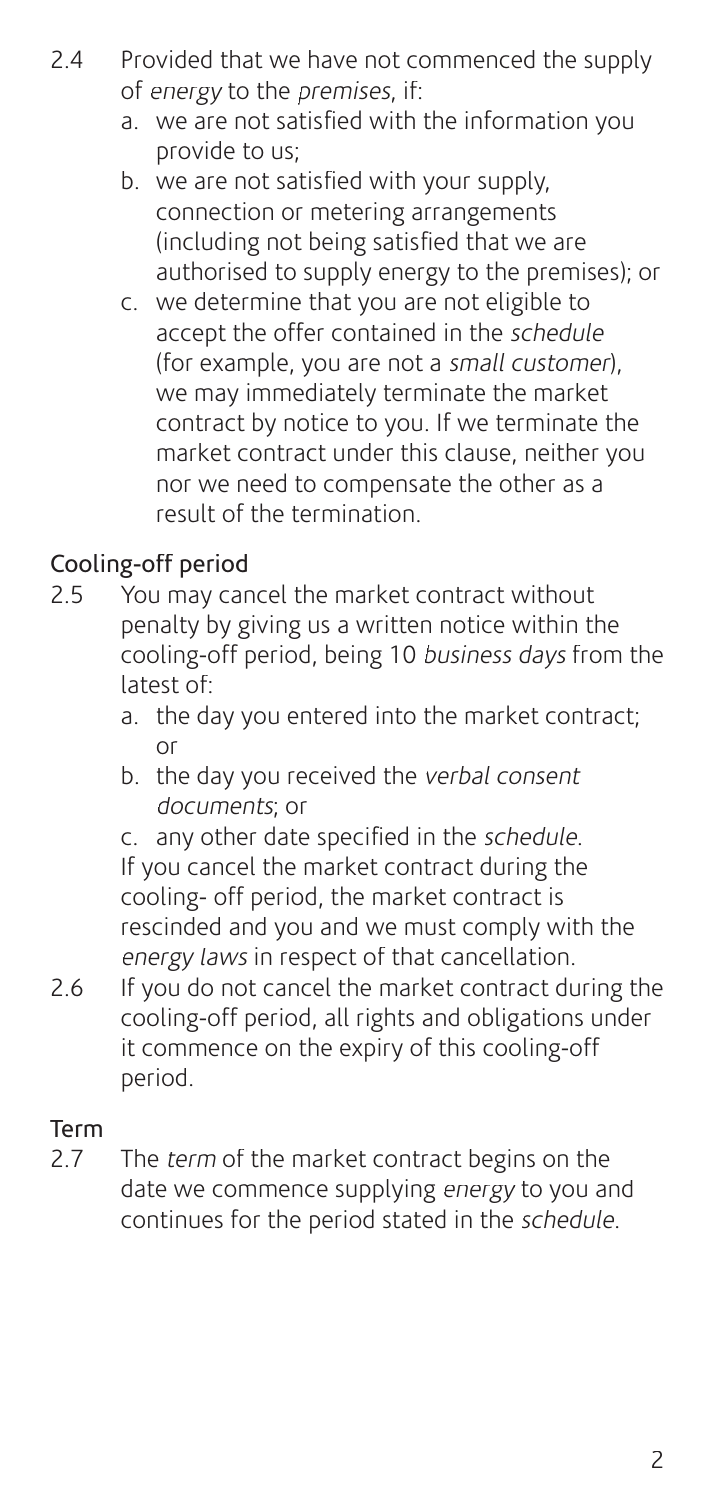- 2.4 Provided that we have not commenced the supply of energy to the premises, if:
	- a. we are not satisfied with the information you provide to us;
	- b. we are not satisfied with your supply. connection or metering arrangements (including not being satisfied that we are authorised to supply energy to the premises); or
	- c. we determine that you are not eligible to accept the offer contained in the schedule (for example, you are not a small customer), we may immediately terminate the market contract by notice to you. If we terminate the market contract under this clause, neither you nor we need to compensate the other as a result of the termination.

## Cooling-off period

- 2.5 You may cancel the market contract without penalty by giving us a written notice within the cooling-off period, being 10 business days from the latest of:
	- a. the day you entered into the market contract; or
- b. the day you received the verbal consent documents; or

c. any other date specified in the schedule. If you cancel the market contract during the cooling- off period, the market contract is rescinded and you and we must comply with the energy laws in respect of that cancellation.

2.6 If you do not cancel the market contract during the cooling-off period, all rights and obligations under it commence on the expiry of this cooling-off period.

## Term<br>2.7

The term of the market contract begins on the date we commence supplying energy to you and continues for the period stated in the schedule.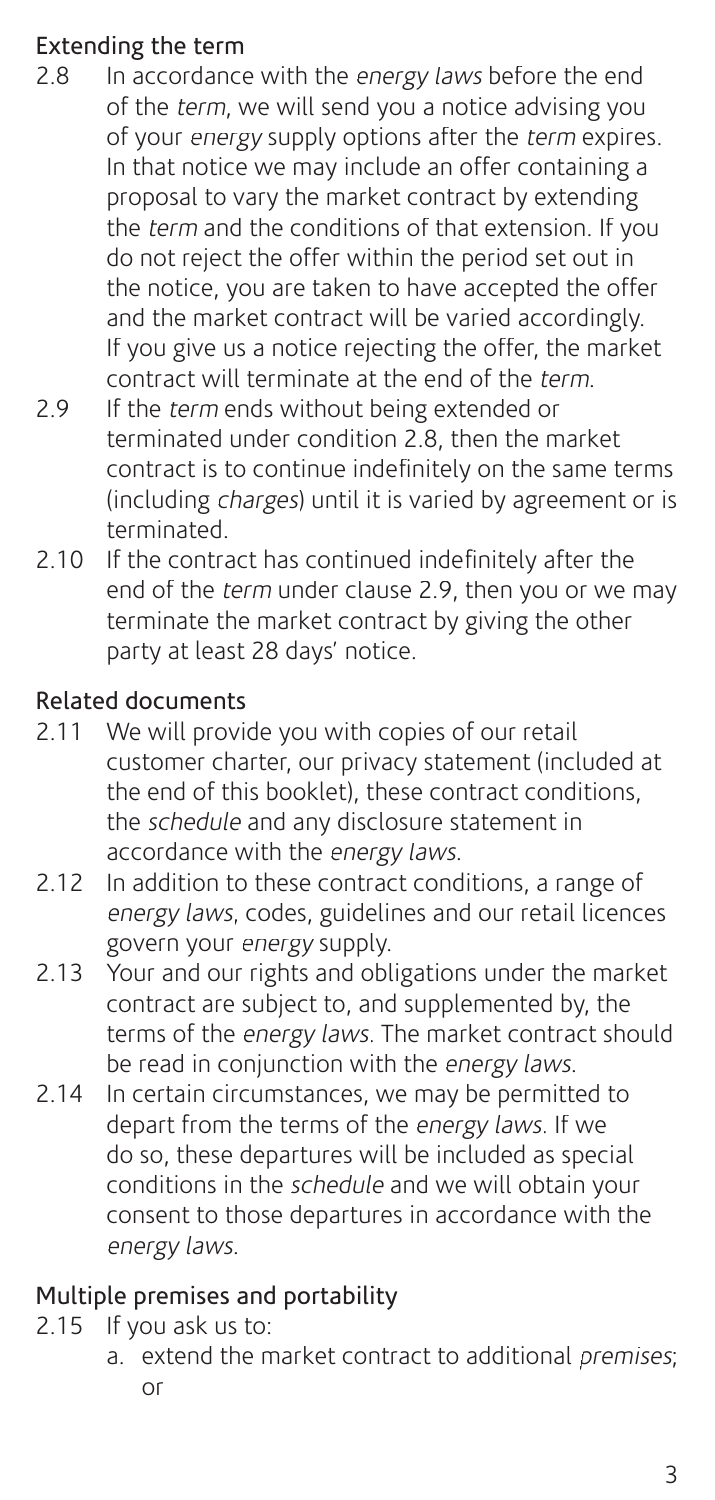## Extending the term

- 2.8 In accordance with the energy laws before the end of the term, we will send you a notice advising you of your energy supply options after the term expires. In that notice we may include an offer containing a proposal to vary the market contract by extending the *term* and the conditions of that extension. If you do not reject the offer within the period set out in the notice, you are taken to have accepted the offer and the market contract will be varied accordingly. If you give us a notice rejecting the offer, the market contract will terminate at the end of the term.
- 2.9 If the *term* ends without being extended or terminated under condition 2.8, then the market contract is to continue indefinitely on the same terms (including charges) until it is varied by agreement or is terminated.
- 2.10 If the contract has continued indefinitely after the end of the term under clause 2.9, then you or we may terminate the market contract by giving the other party at least 28 days' notice.

## Related documents

- 2.11 We will provide you with copies of our retail customer charter, our privacy statement (included at the end of this booklet), these contract conditions, the schedule and any disclosure statement in accordance with the energy laws.
- 2.12 In addition to these contract conditions, a range of energy laws, codes, guidelines and our retail licences govern your energy supply.
- 2.13 Your and our rights and obligations under the market contract are subject to, and supplemented by, the terms of the energy laws. The market contract should be read in conjunction with the energy laws.
- 2.14 In certain circumstances, we may be permitted to depart from the terms of the energy laws. If we do so, these departures will be included as special conditions in the schedule and we will obtain your consent to those departures in accordance with the energy laws.

## Multiple premises and portability

- 2.15 If you ask us to:
	- a. extend the market contract to additional premises; or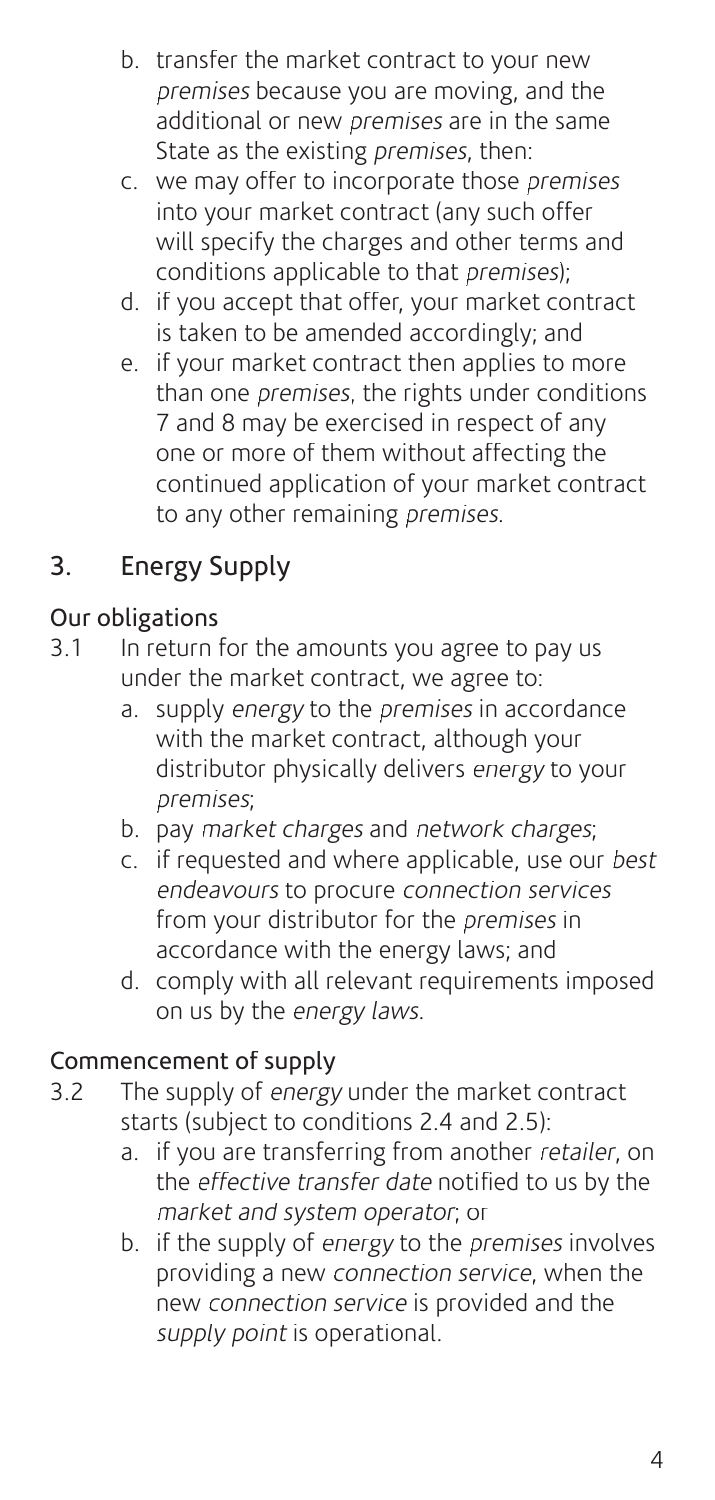- b. transfer the market contract to your new premises because you are moving, and the additional or new *premises* are in the same State as the existing *premises*, then:
- c. we may offer to incorporate those premises into your market contract (any such offer will specify the charges and other terms and conditions applicable to that premises);
- d. if you accept that offer, your market contract is taken to be amended accordingly; and
- e. if your market contract then applies to more than one premises, the rights under conditions 7 and 8 may be exercised in respect of any one or more of them without affecting the continued application of your market contract to any other remaining premises.

## 3. Energy Supply

## Our obligations

- 3.1 In return for the amounts you agree to pay us under the market contract, we agree to:
	- a. supply energy to the premises in accordance with the market contract, although your distributor physically delivers energy to your premises;
	- b. pay market charges and network charges;
	- c. if requested and where applicable, use our best endeavours to procure connection services from your distributor for the *premises* in accordance with the energy laws; and
	- d. comply with all relevant requirements imposed on us by the energy laws.

## Commencement of supply

- 3.2 The supply of energy under the market contract starts (subject to conditions 2.4 and 2.5):
	- a. if you are transferring from another retailer, on the *effective transfer date* notified to us by the market and system operator; or
	- b. if the supply of energy to the premises involves providing a new connection service, when the new connection service is provided and the supply point is operational.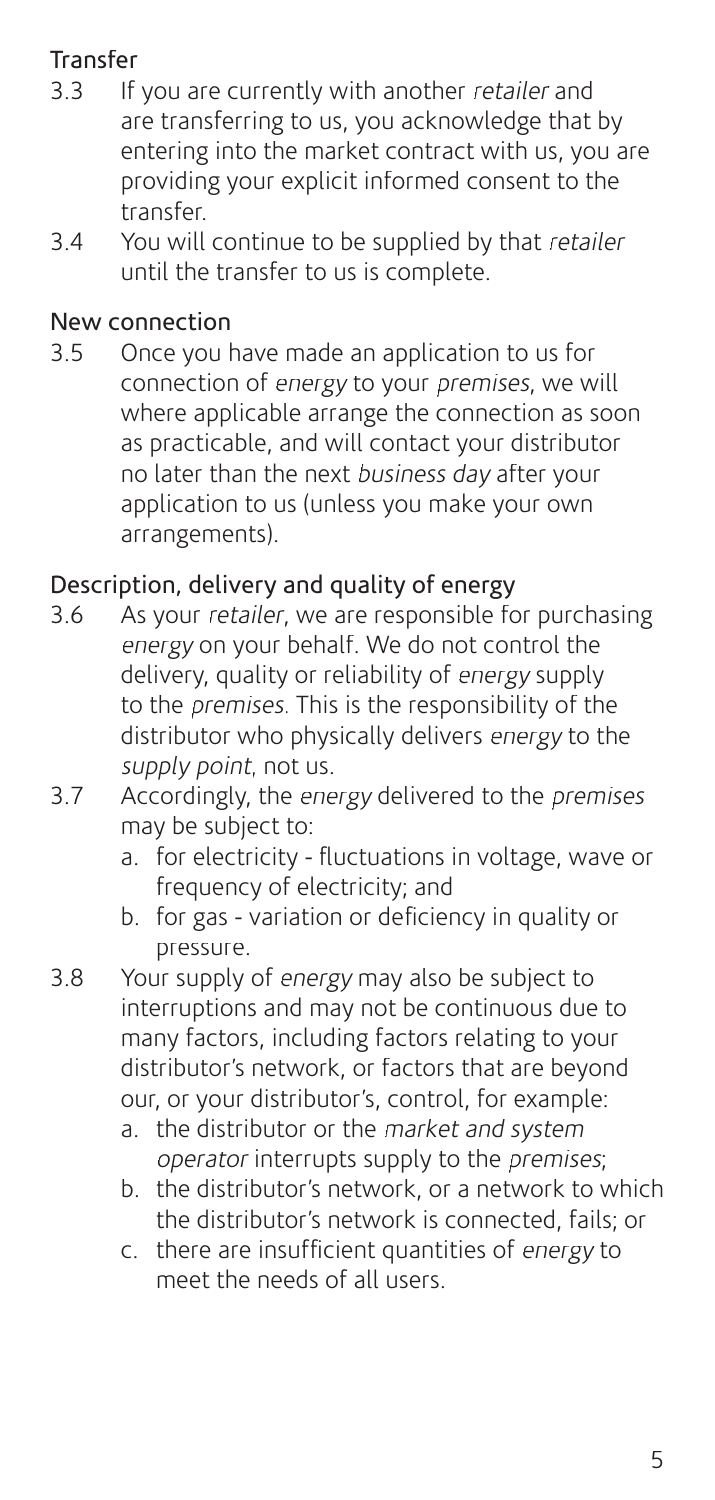## Transfer<br>3.3 If

- If you are currently with another retailer and are transferring to us, you acknowledge that by entering into the market contract with us, you are providing your explicit informed consent to the transfer.
- 3.4 You will continue to be supplied by that retailer until the transfer to us is complete.

#### New connection

3.5 Once you have made an application to us for connection of energy to your premises, we will where applicable arrange the connection as soon as practicable, and will contact your distributor no later than the next business day after your application to us (unless you make your own arrangements).

## Description, delivery and quality of energy

- 3.6 As your retailer, we are responsible for purchasing energy on your behalf. We do not control the delivery, quality or reliability of energy supply to the premises. This is the responsibility of the distributor who physically delivers energy to the supply point, not us.
- 3.7 Accordingly, the energy delivered to the premises may be subject to:
	- a. for electricity fluctuations in voltage, wave or frequency of electricity; and
	- b. for gas variation or deficiency in quality or pressure.
- 3.8 Your supply of energy may also be subject to interruptions and may not be continuous due to many factors, including factors relating to your distributor's network, or factors that are beyond our, or your distributor's, control, for example:
	- a. the distributor or the market and system operator interrupts supply to the premises;
	- b. the distributor's network, or a network to which the distributor's network is connected, fails; or
	- c. there are insufficient quantities of energy to meet the needs of all users.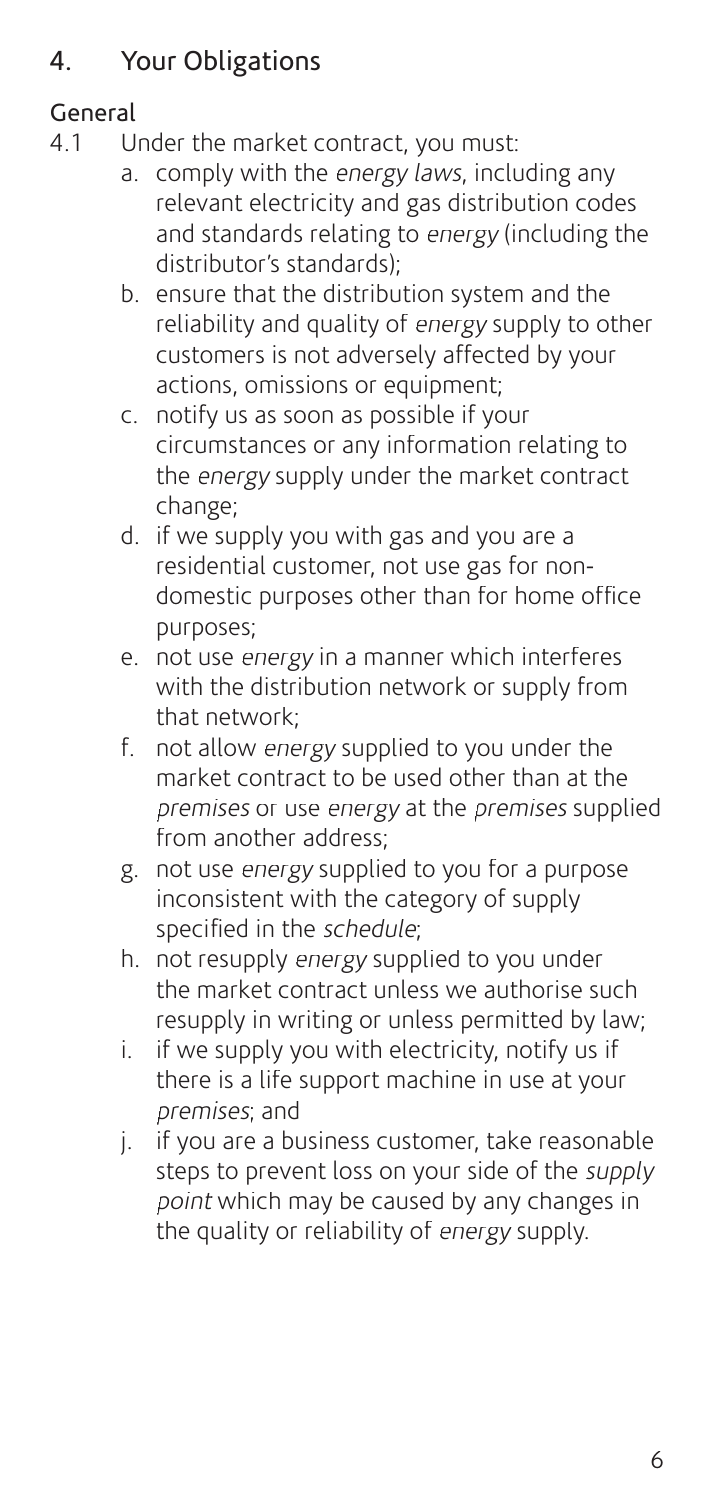## 4. Your Obligations

## General

- 4.1 Under the market contract, you must:
	- a. comply with the energy laws, including any relevant electricity and gas distribution codes and standards relating to energy (including the distributor's standards);
	- b. ensure that the distribution system and the reliability and quality of energy supply to other customers is not adversely affected by your actions, omissions or equipment;
	- c. notify us as soon as possible if your circumstances or any information relating to the energy supply under the market contract change;
	- d. if we supply you with gas and you are a residential customer, not use gas for nondomestic purposes other than for home office purposes;
	- e. not use energy in a manner which interferes with the distribution network or supply from that network;
	- f. not allow energy supplied to you under the market contract to be used other than at the premises or use energy at the premises supplied from another address;
	- g. not use energy supplied to you for a purpose inconsistent with the category of supply specified in the schedule;
	- h. not resupply energy supplied to you under the market contract unless we authorise such resupply in writing or unless permitted by law;
	- i. if we supply you with electricity, notify us if there is a life support machine in use at your premises; and
	- j. if you are a business customer, take reasonable steps to prevent loss on your side of the *supply* point which may be caused by any changes in the quality or reliability of energy supply.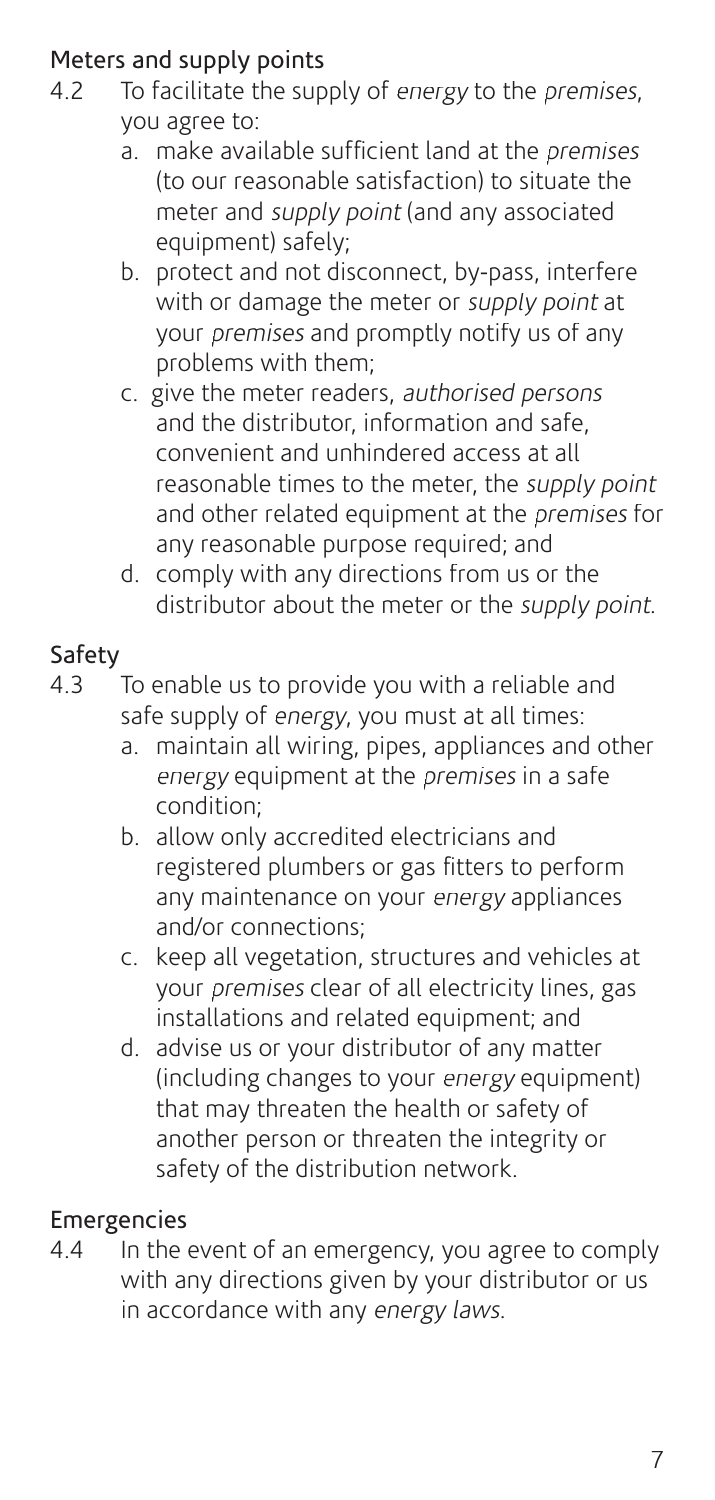## Meters and supply points  $4.2$  To facilitate the sup

- To facilitate the supply of energy to the *premises*. you agree to:
	- $a<sub>n</sub>$  make available sufficient land at the *premises* (to our reasonable satisfaction) to situate the meter and *supply point* (and any associated equipment) safely;
	- b. protect and not disconnect, by-pass, interfere with or damage the meter or supply point at your premises and promptly notify us of any problems with them;
	- c. give the meter readers, authorised persons and the distributor, information and safe, convenient and unhindered access at all reasonable times to the meter, the supply point and other related equipment at the premises for any reasonable purpose required; and
	- d. comply with any directions from us or the distributor about the meter or the supply point.

## Safety

- 4.3 To enable us to provide you with a reliable and safe supply of *energy*, you must at all times:
	- a. maintain all wiring, pipes, appliances and other energy equipment at the *premises* in a safe condition;
	- b. allow only accredited electricians and registered plumbers or gas fitters to perform any maintenance on your energy appliances and/or connections;
	- c. keep all vegetation, structures and vehicles at your premises clear of all electricity lines, gas installations and related equipment; and
	- d. advise us or your distributor of any matter (including changes to your energy equipment) that may threaten the health or safety of another person or threaten the integrity or safety of the distribution network.

## Emergencies

4.4 In the event of an emergency, you agree to comply with any directions given by your distributor or us in accordance with any energy laws.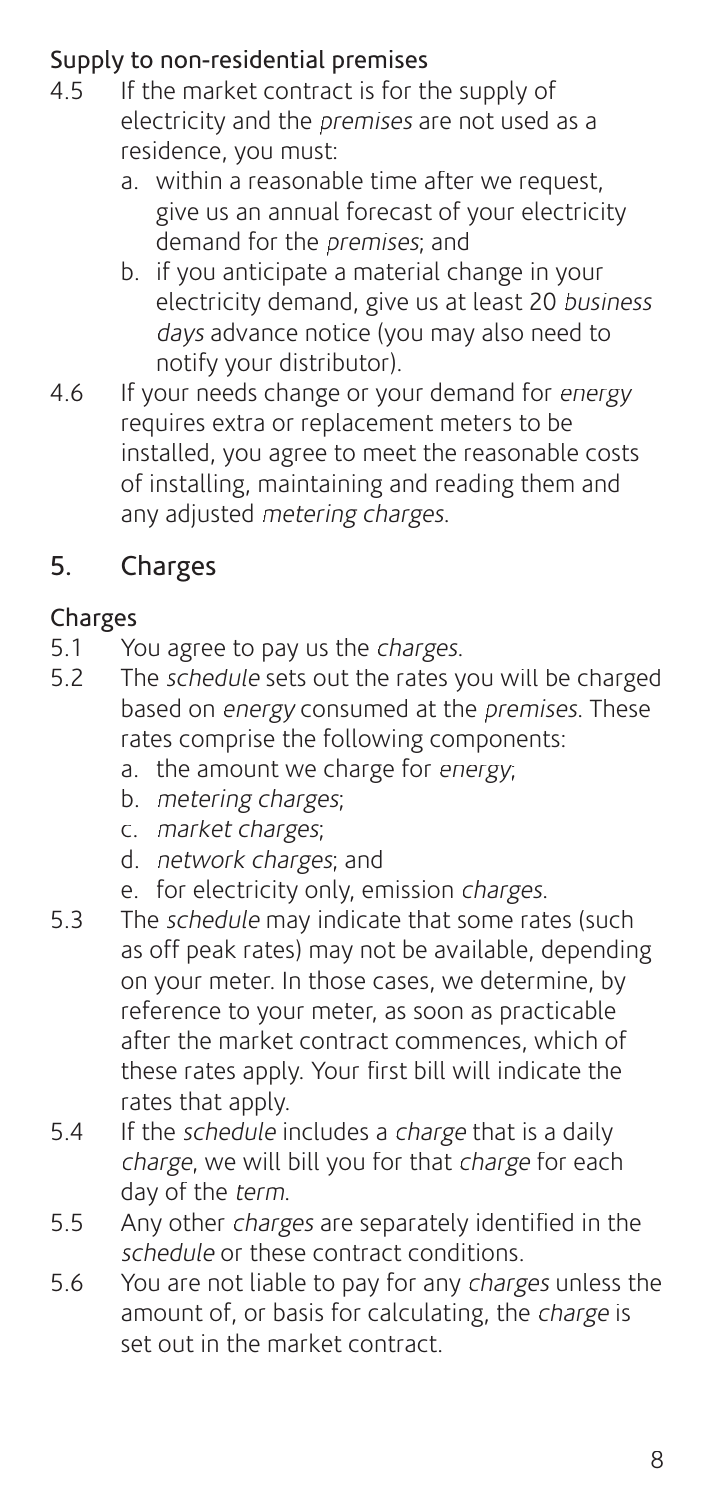## Supply to non-residential premises<br> $4.5$  If the market contract is for the

- If the market contract is for the supply of electricity and the premises are not used as a residence, you must:
	- a. within a reasonable time after we request, give us an annual forecast of your electricity demand for the *premises*: and
	- b. if you anticipate a material change in your electricity demand, give us at least 20 business days advance notice (you may also need to notify your distributor).
- 4.6 If your needs change or your demand for energy requires extra or replacement meters to be installed, you agree to meet the reasonable costs of installing, maintaining and reading them and any adjusted metering charges.

## 5. Charges

## Charges

- 5.1 You agree to pay us the *charges*.
- 5.2 The schedule sets out the rates you will be charged based on energy consumed at the premises. These rates comprise the following components:
	- a. the amount we charge for energy;
	- b. metering charges;
	- c. market charges;
	- d. network charges; and
	- e. for electricity only, emission charges.
- 5.3 The *schedule* may indicate that some rates (such as off peak rates) may not be available, depending on your meter. In those cases, we determine, by reference to your meter, as soon as practicable after the market contract commences, which of these rates apply. Your first bill will indicate the rates that apply.
- 5.4 If the schedule includes a charge that is a daily charge, we will bill you for that charge for each day of the term.
- 5.5 Any other charges are separately identified in the schedule or these contract conditions.
- 5.6 You are not liable to pay for any charges unless the amount of, or basis for calculating, the *charge* is set out in the market contract.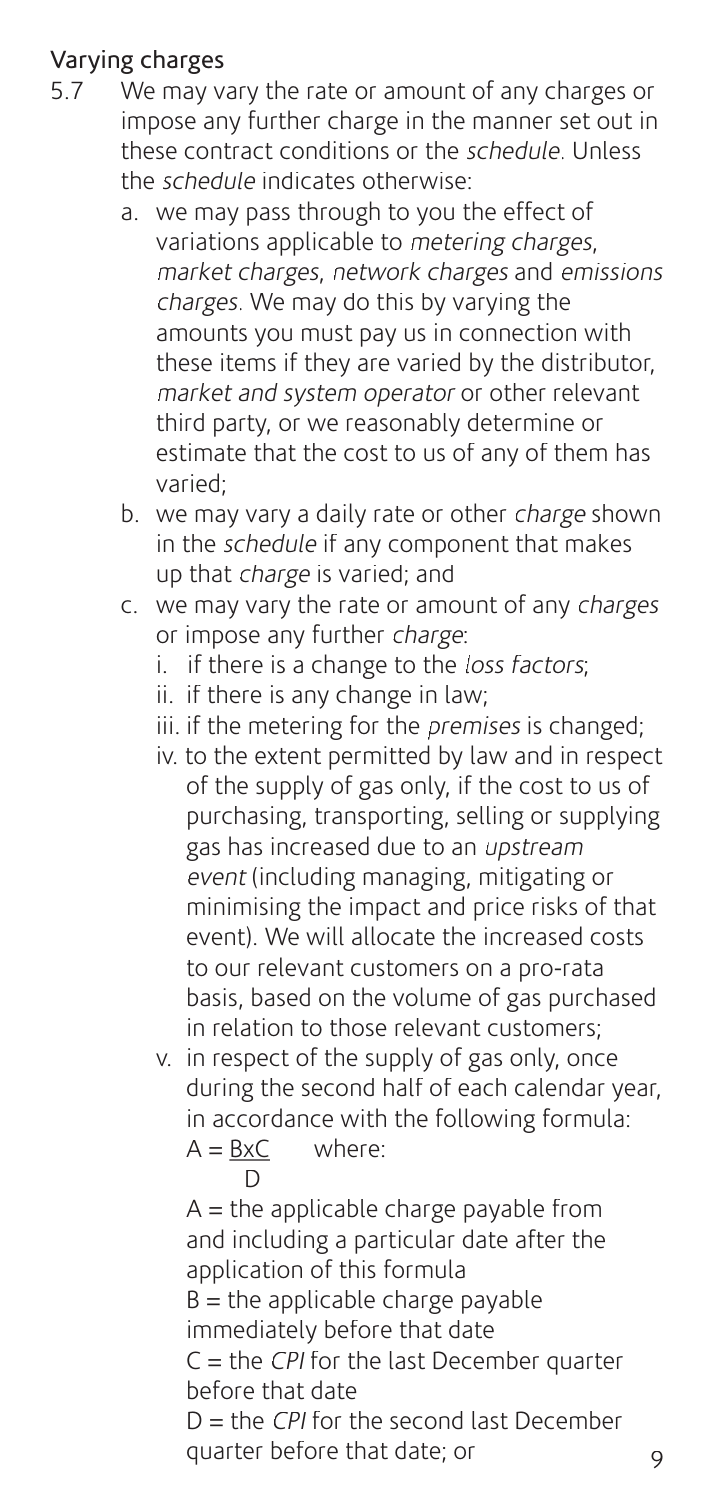## Varying charges

- 5.7 We may vary the rate or amount of any charges or impose any further charge in the manner set out in these contract conditions or the schedule. Unless the *schedule* indicates otherwise:
	- a. we may pass through to you the effect of variations applicable to metering charges, market charges, network charges and emissions charges. We may do this by varying the amounts you must pay us in connection with these items if they are varied by the distributor, market and system operator or other relevant third party, or we reasonably determine or estimate that the cost to us of any of them has varied;
	- b. we may vary a daily rate or other charge shown in the schedule if any component that makes up that *charge* is varied; and
	- c. we may vary the rate or amount of any charges or impose any further charge:
		- i. if there is a change to the loss factors;
		- ii. if there is any change in law;
		- iii. if the metering for the *premises* is changed;
		- iv. to the extent permitted by law and in respect of the supply of gas only, if the cost to us of purchasing, transporting, selling or supplying gas has increased due to an upstream event (including managing, mitigating or minimising the impact and price risks of that event). We will allocate the increased costs to our relevant customers on a pro-rata basis, based on the volume of gas purchased in relation to those relevant customers;
		- v. in respect of the supply of gas only, once during the second half of each calendar year, in accordance with the following formula:  $A = BxC$  where:

**D**  $A =$  the applicable charge payable from and including a particular date after the application of this formula  $B =$  the applicable charge payable immediately before that date  $C =$  the CPI for the last December quarter before that date  $D =$  the CPI for the second last December quarter before that date; or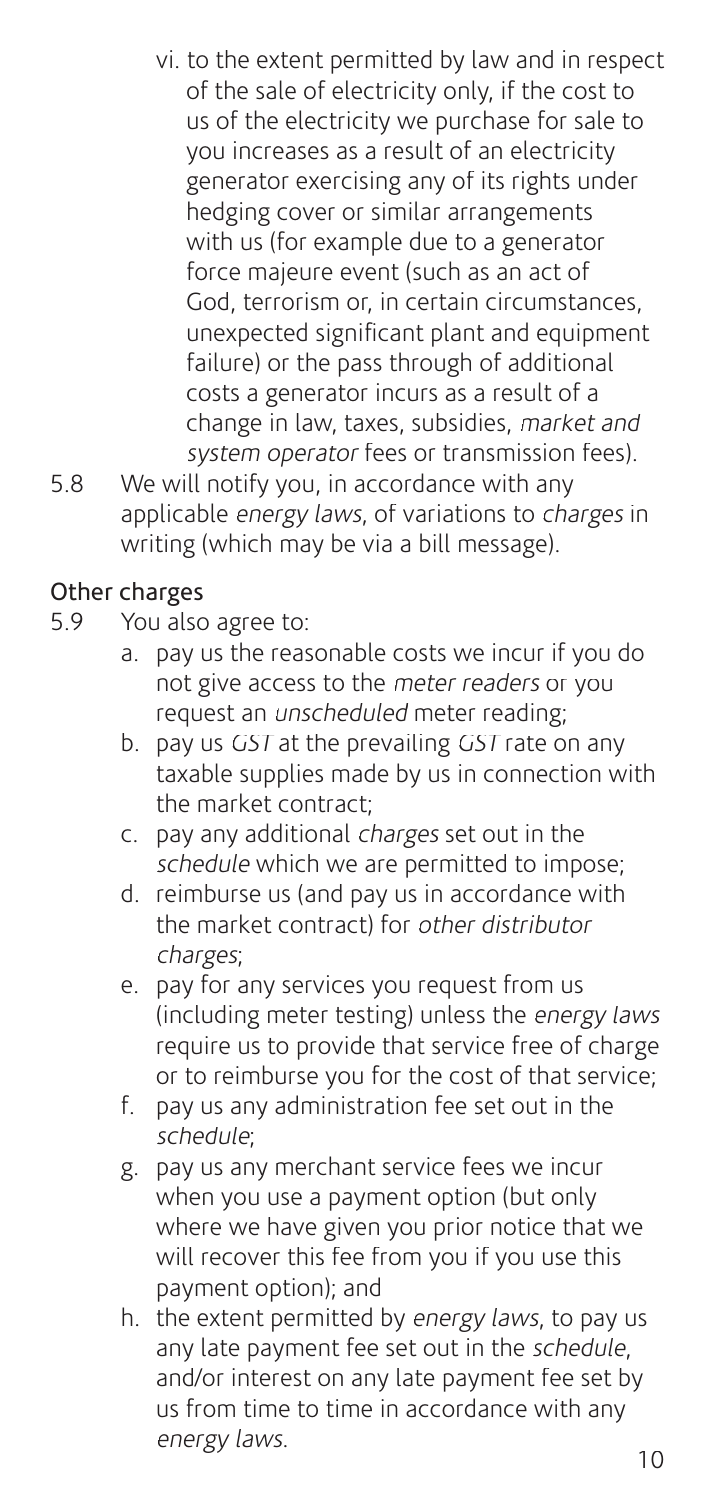- vi. to the extent permitted by law and in respect of the sale of electricity only, if the cost to us of the electricity we purchase for sale to you increases as a result of an electricity generator exercising any of its rights under hedging cover or similar arrangements with us (for example due to a generator force majeure event (such as an act of God, terrorism or, in certain circumstances, unexpected significant plant and equipment failure) or the pass through of additional costs a generator incurs as a result of a change in law, taxes, subsidies, market and system operator fees or transmission fees).
- 5.8 We will notify you, in accordance with any applicable energy laws, of variations to charges in writing (which may be via a bill message).

## Other charges

- 5.9 You also agree to:
	- a. pay us the reasonable costs we incur if you do not give access to the meter readers or you request an unscheduled meter reading;
	- b. pay us GST at the prevailing GST rate on any taxable supplies made by us in connection with the market contract;
	- c. pay any additional *charges* set out in the schedule which we are permitted to impose;
	- d. reimburse us (and pay us in accordance with the market contract) for other distributor charges;
	- e. pay for any services you request from us (including meter testing) unless the energy laws require us to provide that service free of charge or to reimburse you for the cost of that service;
	- f. pay us any administration fee set out in the schedule;
	- g. pay us any merchant service fees we incur when you use a payment option (but only where we have given you prior notice that we will recover this fee from you if you use this payment option); and
	- h. the extent permitted by energy laws, to pay us any late payment fee set out in the schedule, and/or interest on any late payment fee set by us from time to time in accordance with any energy laws.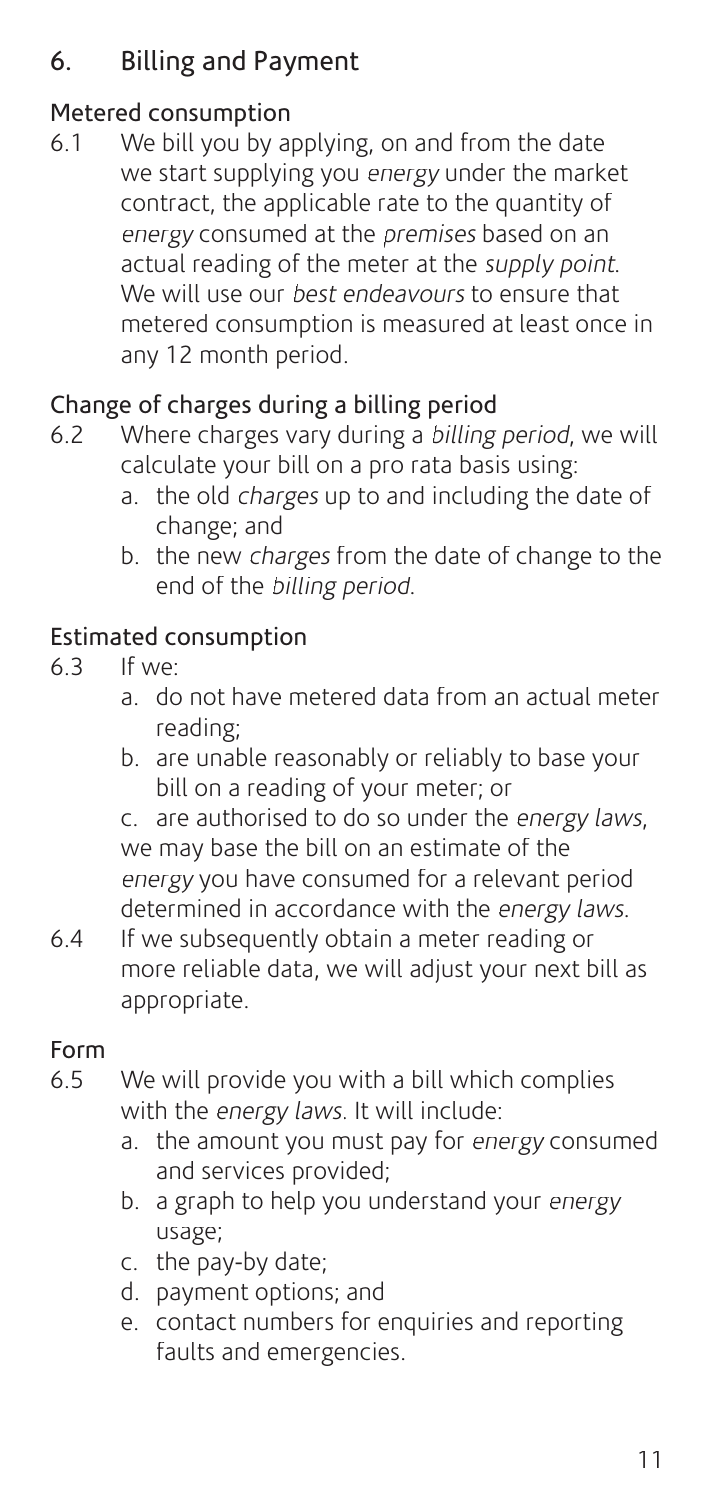## 6. Billing and Payment

## Metered consumption

6.1 We bill you by applying, on and from the date we start supplying you energy under the market contract, the applicable rate to the quantity of energy consumed at the premises based on an actual reading of the meter at the *supply point*. We will use our *best endeavours* to ensure that metered consumption is measured at least once in any 12 month period.

## Change of charges during a billing period

- 6.2 Where charges vary during a billing period, we will calculate your bill on a pro rata basis using:
	- a. the old charges up to and including the date of change; and
	- b. the new charges from the date of change to the end of the billing period.

#### Estimated consumption

- 6.3 If we:
	- a. do not have metered data from an actual meter reading;
	- b. are unable reasonably or reliably to base your bill on a reading of your meter; or

 c. are authorised to do so under the energy laws, we may base the bill on an estimate of the energy you have consumed for a relevant period determined in accordance with the energy laws.

6.4 If we subsequently obtain a meter reading or more reliable data, we will adjust your next bill as appropriate.

#### Form

- 6.5 We will provide you with a bill which complies with the *energy laws*. It will include:
	- a. the amount you must pay for energy consumed and services provided;
	- b. a graph to help you understand your energy usage;
	- c. the pay-by date;
	- d. payment options; and
	- e. contact numbers for enquiries and reporting faults and emergencies.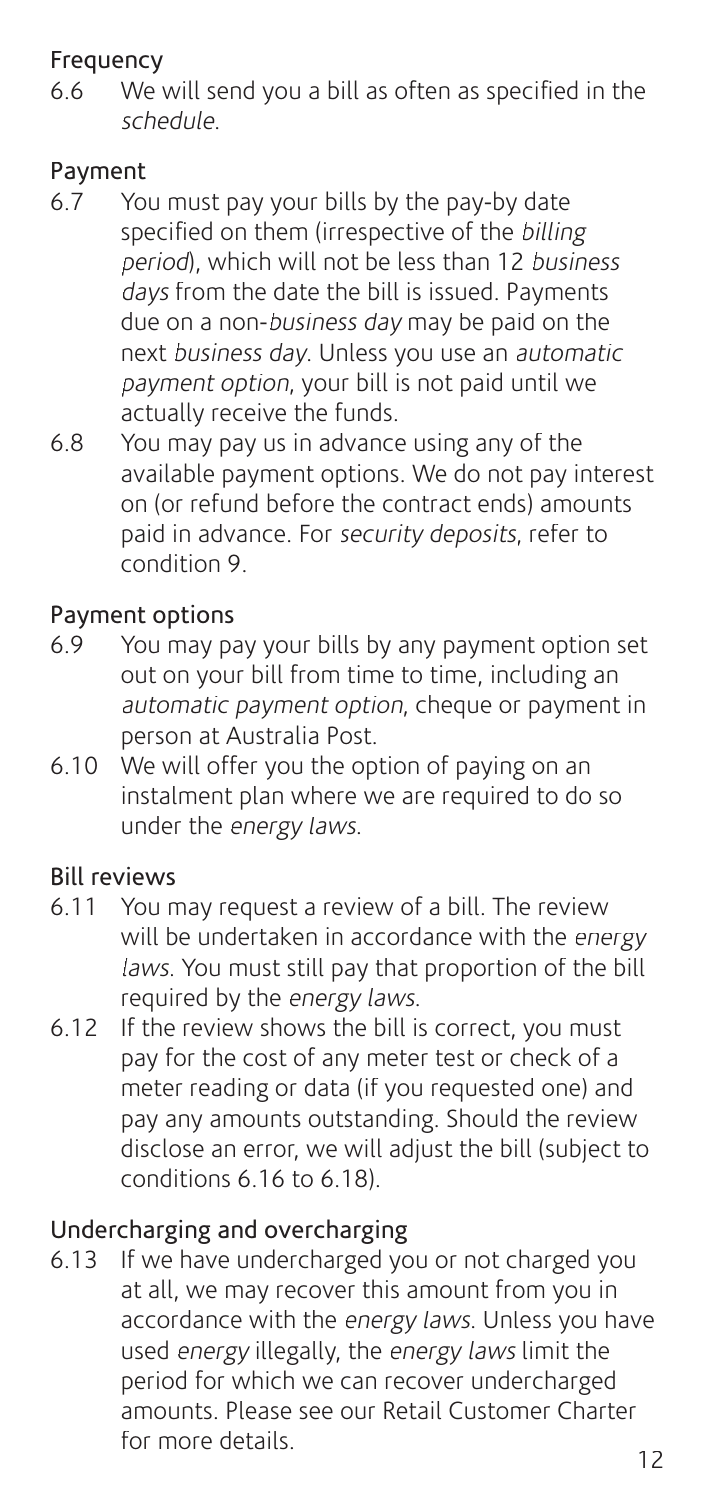#### Frequency

6.6 We will send you a bill as often as specified in the schedule.

#### Payment

- 6.7 You must pay your bills by the pay-by date specified on them (irrespective of the billing period), which will not be less than 12 business days from the date the bill is issued. Payments due on a non-business day may be paid on the next business day. Unless you use an automatic payment option, your bill is not paid until we actually receive the funds.
- 6.8 You may pay us in advance using any of the available payment options. We do not pay interest on (or refund before the contract ends) amounts paid in advance. For security deposits, refer to condition 9.

## Payment options

- 6.9 You may pay your bills by any payment option set out on your bill from time to time, including an automatic payment option, cheque or payment in person at Australia Post.
- 6.10 We will offer you the option of paying on an instalment plan where we are required to do so under the energy laws.

#### Bill reviews

- 6.11 You may request a review of a bill. The review will be undertaken in accordance with the energy laws. You must still pay that proportion of the bill required by the energy laws.
- 6.12 If the review shows the bill is correct, you must pay for the cost of any meter test or check of a meter reading or data (if you requested one) and pay any amounts outstanding. Should the review disclose an error, we will adjust the bill (subject to conditions 6.16 to 6.18).

## Undercharging and overcharging

6.13 If we have undercharged you or not charged you at all, we may recover this amount from you in accordance with the energy laws. Unless you have used *energy* illegally, the *energy laws* limit the period for which we can recover undercharged amounts. Please see our Retail Customer Charter for more details.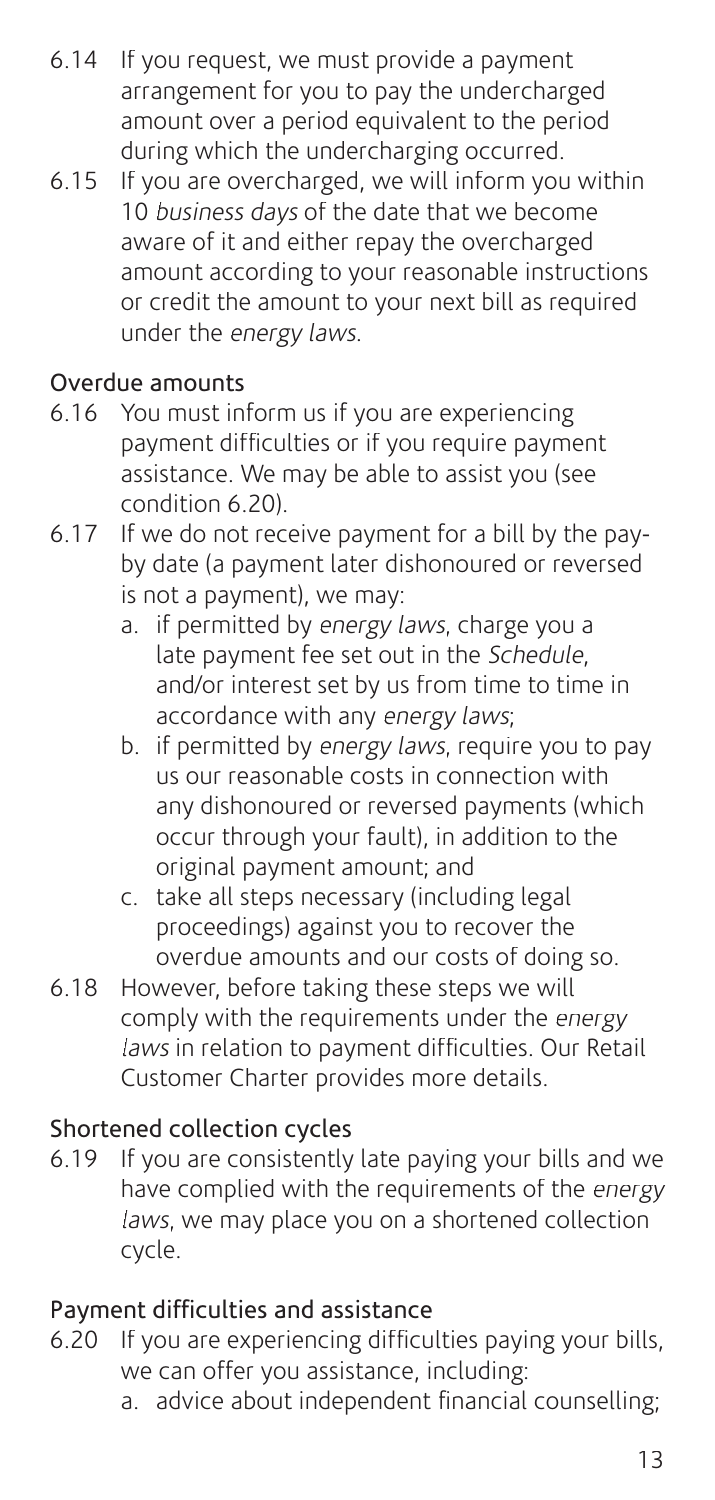- 6.14 If you request, we must provide a payment arrangement for you to pay the undercharged amount over a period equivalent to the period during which the undercharging occurred.
- 6.15 If you are overcharged, we will inform you within 10 business days of the date that we become aware of it and either repay the overcharged amount according to your reasonable instructions or credit the amount to your next bill as required under the energy laws.

### Overdue amounts

- 6.16 You must inform us if you are experiencing payment difficulties or if you require payment assistance. We may be able to assist you (see condition 6.20).
- 6.17 If we do not receive payment for a bill by the payby date (a payment later dishonoured or reversed is not a payment), we may:
	- a. if permitted by energy laws, charge you a late payment fee set out in the Schedule, and/or interest set by us from time to time in accordance with any energy laws;
	- b. if permitted by energy laws, require you to pay us our reasonable costs in connection with any dishonoured or reversed payments (which occur through your fault), in addition to the original payment amount; and
	- c. take all steps necessary (including legal proceedings) against you to recover the overdue amounts and our costs of doing so.
- 6.18 However, before taking these steps we will comply with the requirements under the energy  $\mu$  aws in relation to payment difficulties. Our Retail Customer Charter provides more details.

## Shortened collection cycles

6.19 If you are consistently late paying your bills and we have complied with the requirements of the energy laws, we may place you on a shortened collection cycle.

#### Payment difficulties and assistance

- 6.20 If you are experiencing difficulties paying your bills, we can offer you assistance, including:
	- a. advice about independent financial counselling;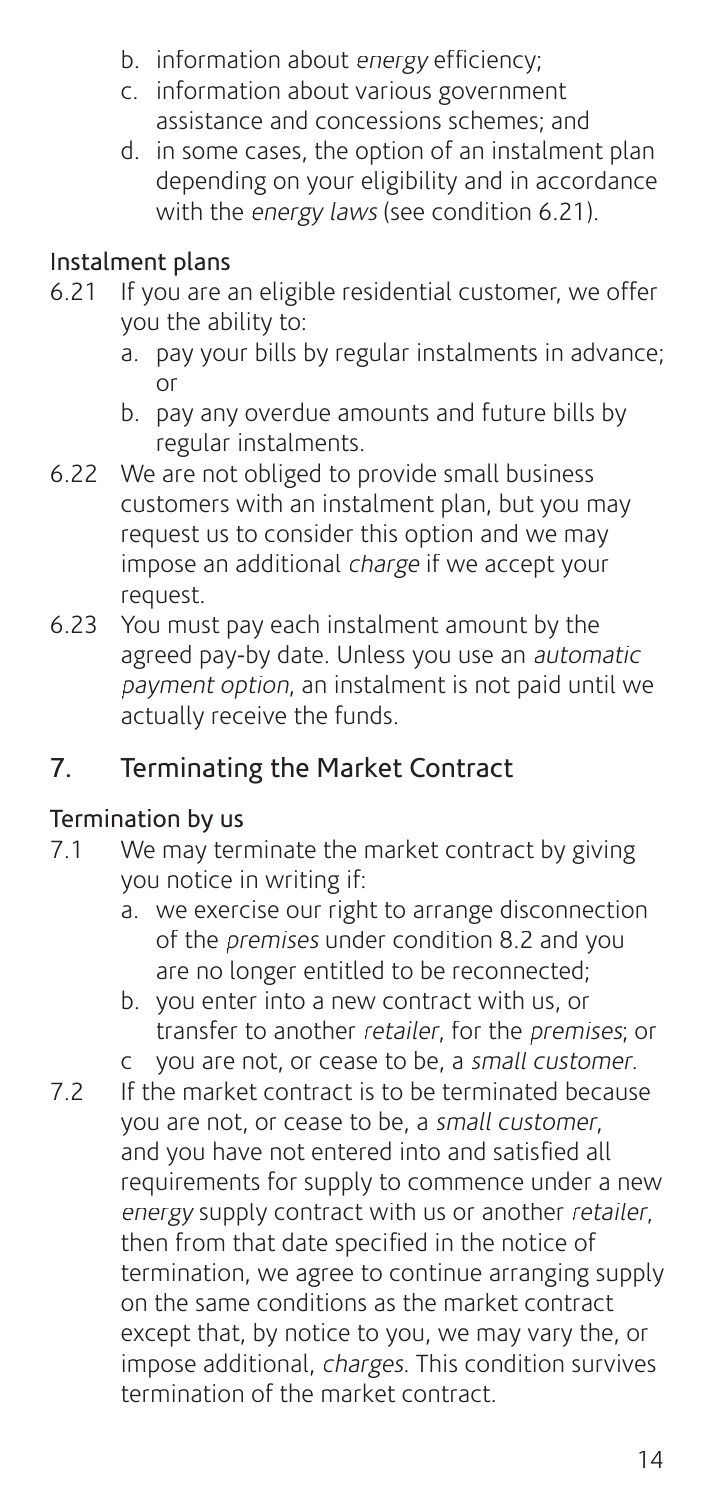- b. information about energy efficiency:
- c. information about various government assistance and concessions schemes; and
- d. in some cases, the option of an instalment plan depending on your eligibility and in accordance with the energy laws (see condition 6.21).

## Instalment plans

- 6.21 If you are an eligible residential customer, we offer you the ability to:
	- a. pay your bills by regular instalments in advance; or
	- b. pay any overdue amounts and future bills by regular instalments.
- 6.22 We are not obliged to provide small business customers with an instalment plan, but you may request us to consider this option and we may impose an additional charge if we accept your request.
- 6.23 You must pay each instalment amount by the agreed pay-by date. Unless you use an automatic payment option, an instalment is not paid until we actually receive the funds.

## 7. Terminating the Market Contract

#### Termination by us

- 7.1 We may terminate the market contract by giving you notice in writing if:
	- a. we exercise our right to arrange disconnection of the premises under condition 8.2 and you are no longer entitled to be reconnected;
	- b. you enter into a new contract with us, or transfer to another retailer, for the premises; or
	- c you are not, or cease to be, a small customer.
- 7.2 If the market contract is to be terminated because you are not, or cease to be, a small customer, and you have not entered into and satisfied all requirements for supply to commence under a new energy supply contract with us or another retailer. then from that date specified in the notice of termination, we agree to continue arranging supply on the same conditions as the market contract except that, by notice to you, we may vary the, or impose additional, charges. This condition survives termination of the market contract.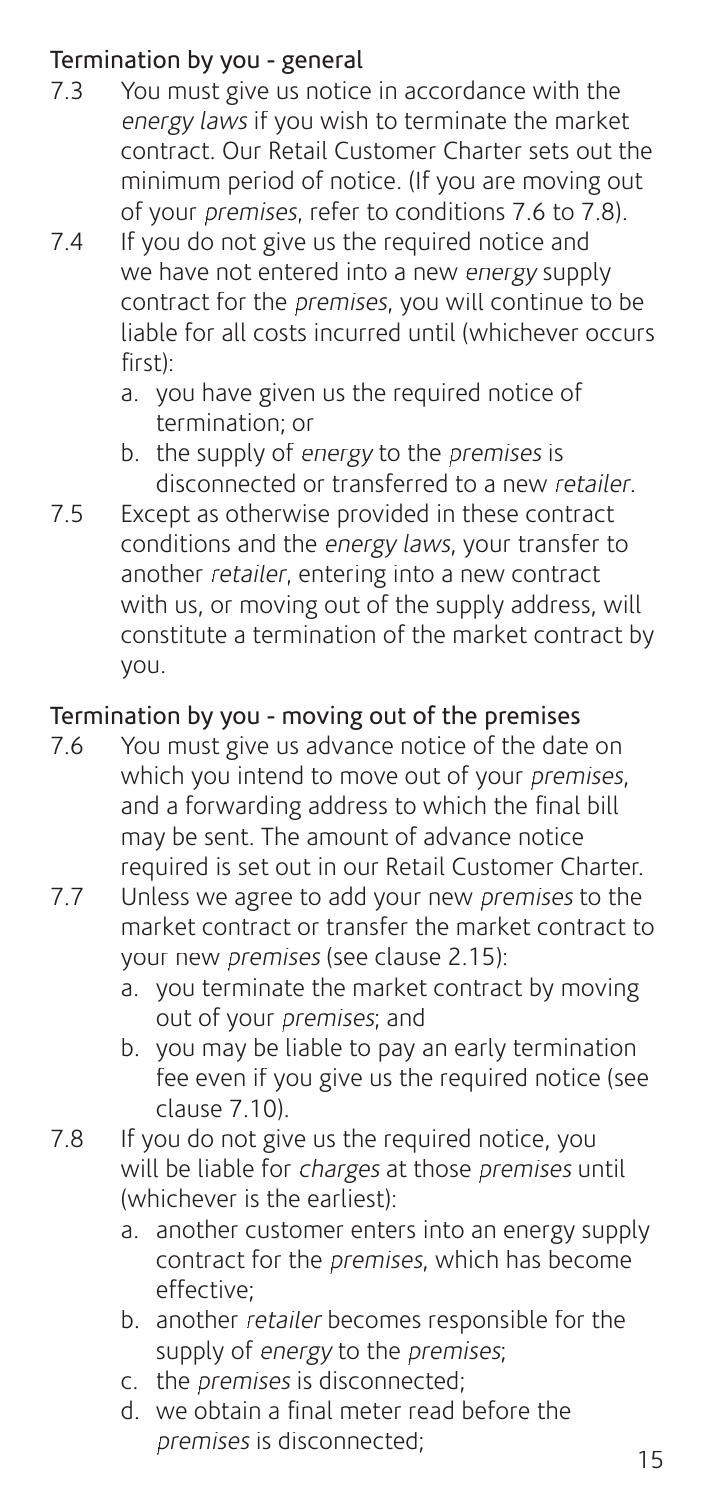## **Termination by you - general**<br>2.3 You must give us notice

- You must give us notice in accordance with the energy laws if you wish to terminate the market contract. Our Retail Customer Charter sets out the minimum period of notice. (If you are moving out of your premises, refer to conditions 7.6 to 7.8).
- 7.4 If you do not give us the required notice and we have not entered into a new energy supply contract for the premises, you will continue to be liable for all costs incurred until (whichever occurs  $first$ )
	- a. you have given us the required notice of termination; or
	- b. the supply of energy to the premises is disconnected or transferred to a new retailer.
- 7.5 Except as otherwise provided in these contract conditions and the energy laws, your transfer to another retailer, entering into a new contract with us, or moving out of the supply address, will constitute a termination of the market contract by you.

## Termination by you - moving out of the premises

- 7.6 You must give us advance notice of the date on which you intend to move out of your *premises*. and a forwarding address to which the final bill may be sent. The amount of advance notice required is set out in our Retail Customer Charter.
- 7.7 Unless we agree to add your new premises to the market contract or transfer the market contract to your new premises (see clause 2.15):
	- a. you terminate the market contract by moving out of your premises; and
	- b. you may be liable to pay an early termination fee even if you give us the required notice (see clause 7.10).
- 7.8 If you do not give us the required notice, you will be liable for charges at those premises until (whichever is the earliest):
	- a. another customer enters into an energy supply contract for the premises, which has become effective;
	- b. another retailer becomes responsible for the supply of energy to the premises;
	- c. the premises is disconnected;
	- d. we obtain a final meter read before the premises is disconnected: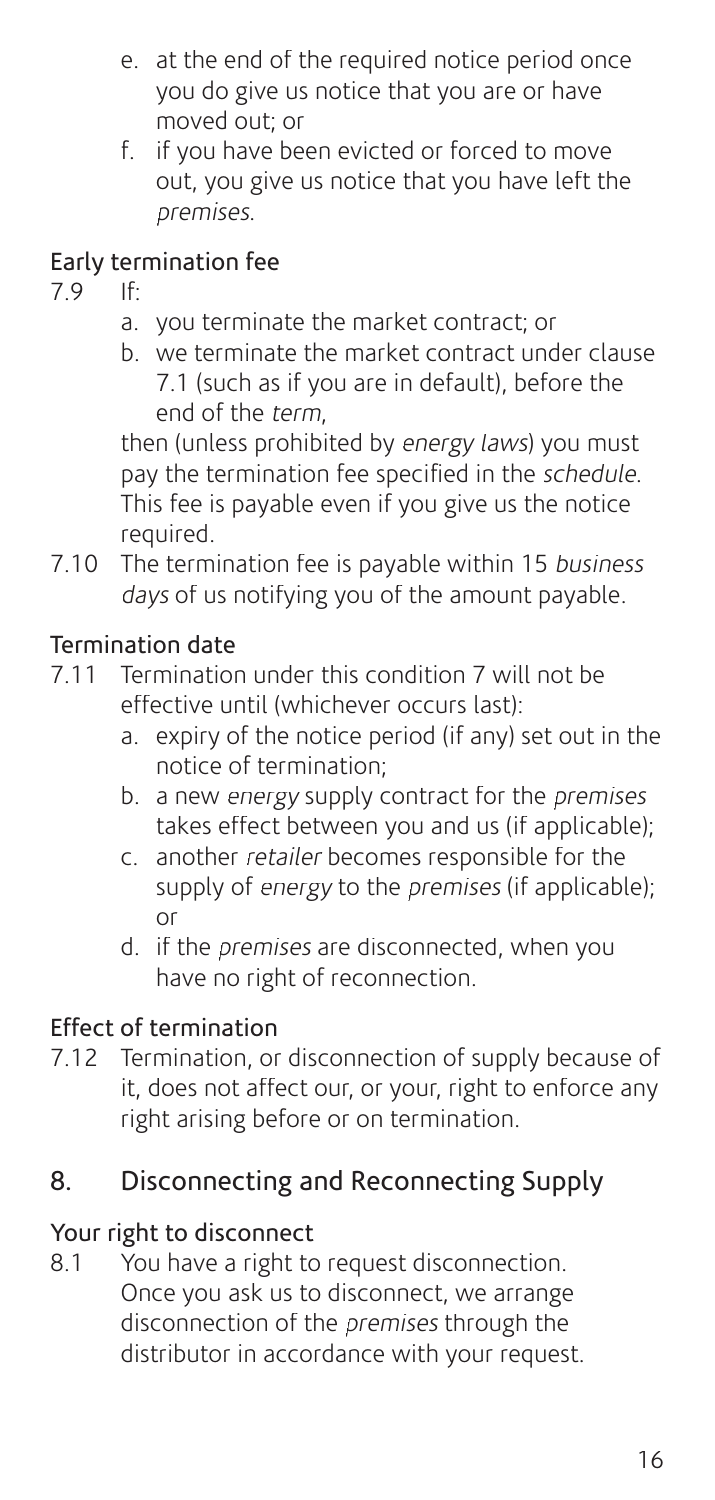- e. at the end of the required notice period once you do give us notice that you are or have moved out; or
- f. if you have been evicted or forced to move out, you give us notice that you have left the premises.

## Early termination fee

7.9 If:

- a. you terminate the market contract; or
- b. we terminate the market contract under clause 7.1 (such as if you are in default), before the end of the term,

 then (unless prohibited by energy laws) you must pay the termination fee specified in the schedule. This fee is payable even if you give us the notice required.

7.10 The termination fee is payable within 15 business days of us notifying you of the amount payable.

## Termination date

- 7.11 Termination under this condition 7 will not be effective until (whichever occurs last):
	- a. expiry of the notice period (if any) set out in the notice of termination;
	- b. a new energy supply contract for the premises takes effect between you and us (if applicable);
	- c. another retailer becomes responsible for the supply of energy to the premises (if applicable): or
	- d. if the premises are disconnected, when you have no right of reconnection.

## Effect of termination

7.12 Termination, or disconnection of supply because of it, does not affect our, or your, right to enforce any right arising before or on termination.

## 8. Disconnecting and Reconnecting Supply

#### Your right to disconnect

8.1 You have a right to request disconnection. Once you ask us to disconnect, we arrange disconnection of the premises through the distributor in accordance with your request.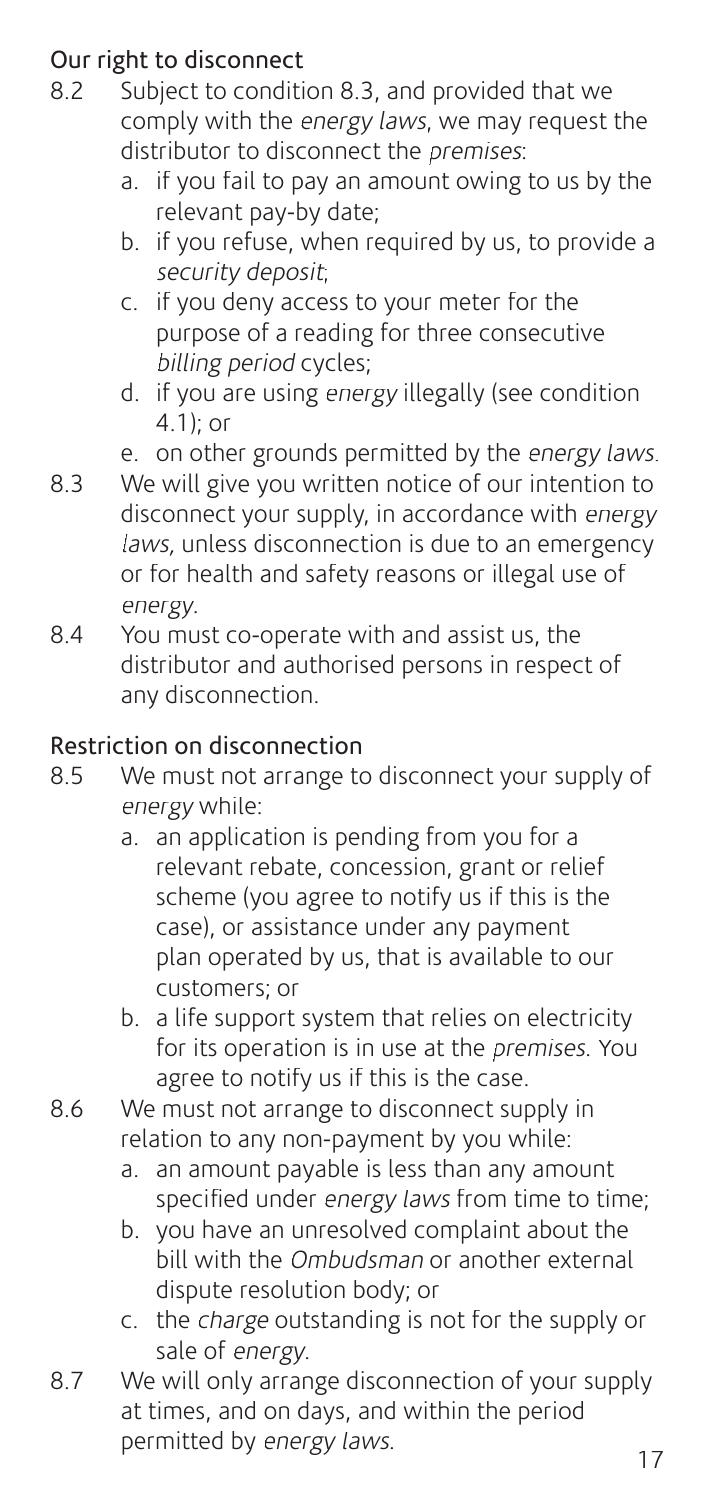## **Our right to disconnect**<br>8.2 Subject to condition

- 8.2 Subject to condition 8.3, and provided that we comply with the energy laws, we may request the distributor to disconnect the *premises*:
	- a. if you fail to pay an amount owing to us by the relevant pay-by date;
	- b. if you refuse, when required by us, to provide a security deposit;
	- c. if you deny access to your meter for the purpose of a reading for three consecutive billing period cycles;
	- d. if you are using energy illegally (see condition 4.1) $\cdot$  or
	- e. on other grounds permitted by the energy laws.
- 8.3 We will give you written notice of our intention to disconnect your supply, in accordance with energy laws, unless disconnection is due to an emergency or for health and safety reasons or illegal use of energy.
- 8.4 You must co-operate with and assist us, the distributor and authorised persons in respect of any disconnection.

## Restriction on disconnection

- 8.5 We must not arrange to disconnect your supply of energy while:
	- a. an application is pending from you for a relevant rebate, concession, grant or relief scheme (you agree to notify us if this is the case), or assistance under any payment plan operated by us, that is available to our customers; or
	- b. a life support system that relies on electricity for its operation is in use at the *premises*. You agree to notify us if this is the case.
- 8.6 We must not arrange to disconnect supply in relation to any non-payment by you while:
	- a. an amount payable is less than any amount specified under energy laws from time to time;
	- b. you have an unresolved complaint about the bill with the *Ombudsman* or another external dispute resolution body; or
	- c. the charge outstanding is not for the supply or sale of energy.
- 8.7 We will only arrange disconnection of your supply at times, and on days, and within the period permitted by energy laws.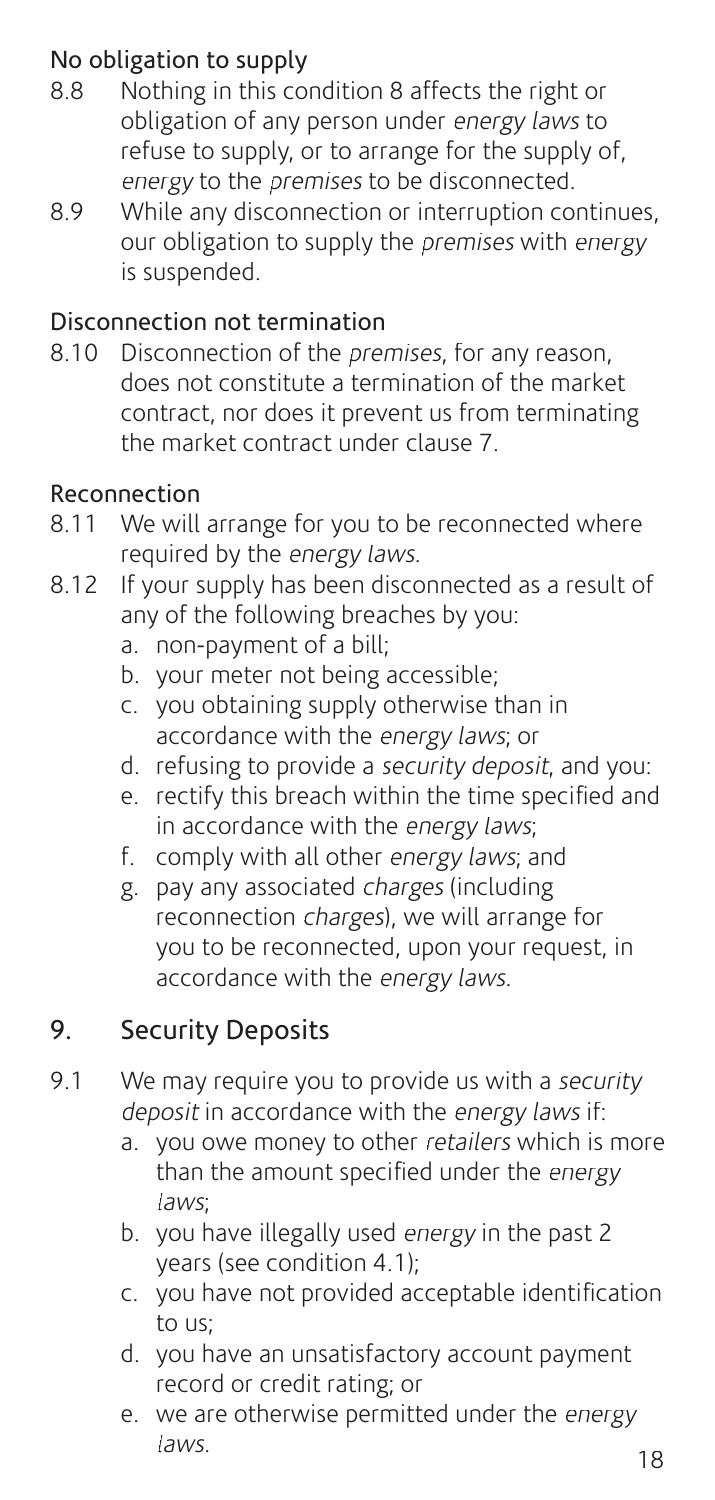## No obligation to supply

- 8.8 Nothing in this condition 8 affects the right or obligation of any person under energy laws to refuse to supply, or to arrange for the supply of, energy to the premises to be disconnected.
- 8.9 While any disconnection or interruption continues, our obligation to supply the premises with energy is suspended.

#### Disconnection not termination

8.10 Disconnection of the *premises*, for any reason, does not constitute a termination of the market contract, nor does it prevent us from terminating the market contract under clause 7.

#### Reconnection

- 8.11 We will arrange for you to be reconnected where required by the energy laws.
- 8.12 If your supply has been disconnected as a result of any of the following breaches by you:
	- a. non-payment of a bill;
	- b. your meter not being accessible;
	- c. you obtaining supply otherwise than in accordance with the energy laws; or
	- d. refusing to provide a security deposit, and you:
	- e. rectify this breach within the time specified and in accordance with the energy laws;
	- f. comply with all other energy laws; and
	- g. pay any associated charges (including reconnection charges), we will arrange for you to be reconnected, upon your request, in accordance with the energy laws.

## 9. Security Deposits

- 9.1 We may require you to provide us with a security deposit in accordance with the energy laws if:
	- a. you owe money to other retailers which is more than the amount specified under the energy laws;
	- b. you have illegally used energy in the past 2 years (see condition 4.1);
	- c. you have not provided acceptable identification to us;
	- d. you have an unsatisfactory account payment record or credit rating; or
	- e. we are otherwise permitted under the energy  $laws.$  18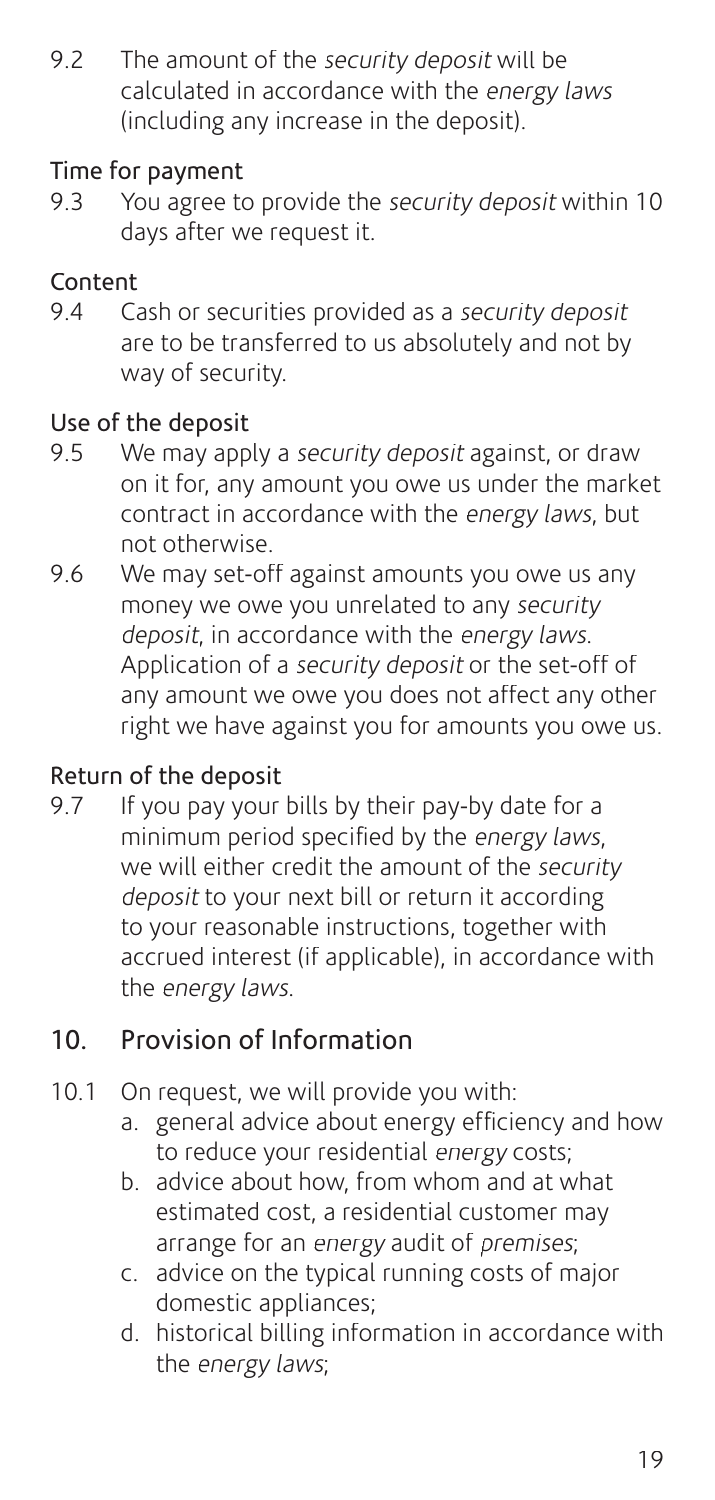9.2 The amount of the security deposit will be calculated in accordance with the energy laws (including any increase in the deposit).

#### Time for payment

9.3 You agree to provide the security deposit within 10 days after we request it.

## Content

9.4 Cash or securities provided as a security deposit are to be transferred to us absolutely and not by way of security.

## Use of the deposit

- 9.5 We may apply a security deposit against, or draw on it for, any amount you owe us under the market contract in accordance with the energy laws, but not otherwise.
- 9.6 We may set-off against amounts you owe us any money we owe you unrelated to any security deposit, in accordance with the energy laws. Application of a security deposit or the set-off of any amount we owe you does not affect any other right we have against you for amounts you owe us.

## Return of the deposit

9.7 If you pay your bills by their pay-by date for a minimum period specified by the *energy laws*. we will either credit the amount of the *security* deposit to your next bill or return it according to your reasonable instructions, together with accrued interest (if applicable), in accordance with the energy laws.

## 10. Provision of Information

- 10.1 On request, we will provide you with:
	- a. general advice about energy efficiency and how to reduce your residential energy costs;
	- b. advice about how, from whom and at what estimated cost, a residential customer may arrange for an energy audit of premises;
	- c. advice on the typical running costs of major domestic appliances;
	- d. historical billing information in accordance with the energy laws;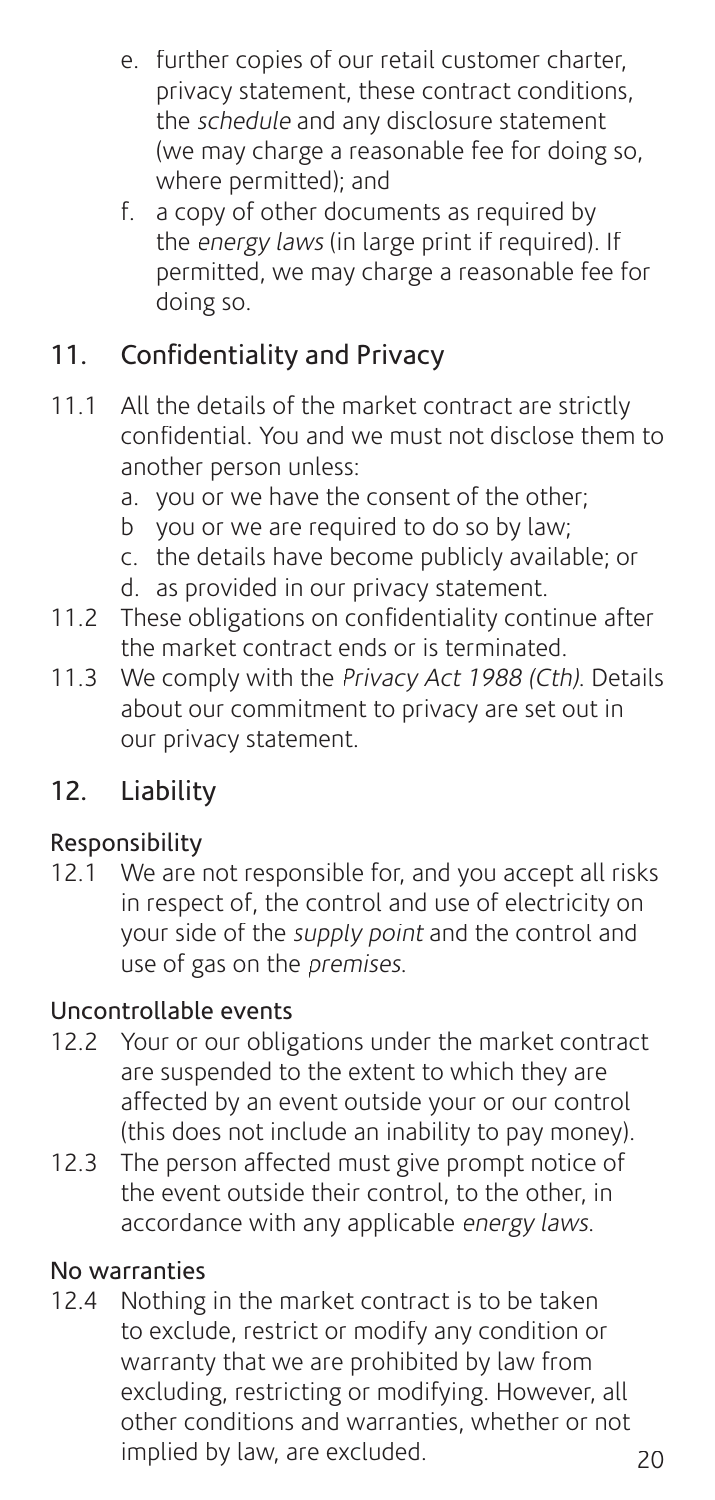- e. further copies of our retail customer charter, privacy statement, these contract conditions, the *schedule* and any disclosure statement (we may charge a reasonable fee for doing so, where permitted); and
- f. a copy of other documents as required by the energy laws (in large print if required). If permitted, we may charge a reasonable fee for doing so.

## 11. Confidentiality and Privacy

- 11.1 All the details of the market contract are strictly confi dential. You and we must not disclose them to another person unless:
	- a. you or we have the consent of the other;
	- $\overline{b}$  you or we are required to do so by law:
	- c. the details have become publicly available; or
	- d. as provided in our privacy statement.
- 11.2 These obligations on confidentiality continue after the market contract ends or is terminated.
- 11.3 We comply with the Privacy Act 1988 (Cth). Details about our commitment to privacy are set out in our privacy statement.

## 12. Liability

## Responsibility

12.1 We are not responsible for, and you accept all risks in respect of, the control and use of electricity on your side of the *supply point* and the control and use of gas on the premises.

#### Uncontrollable events

- 12.2 Your or our obligations under the market contract are suspended to the extent to which they are affected by an event outside your or our control (this does not include an inability to pay money).
- 12.3 The person affected must give prompt notice of the event outside their control, to the other, in accordance with any applicable energy laws.

#### No warranties

12.4 Nothing in the market contract is to be taken to exclude, restrict or modify any condition or warranty that we are prohibited by law from excluding, restricting or modifying. However, all other conditions and warranties, whether or not implied by law, are excluded.  $20$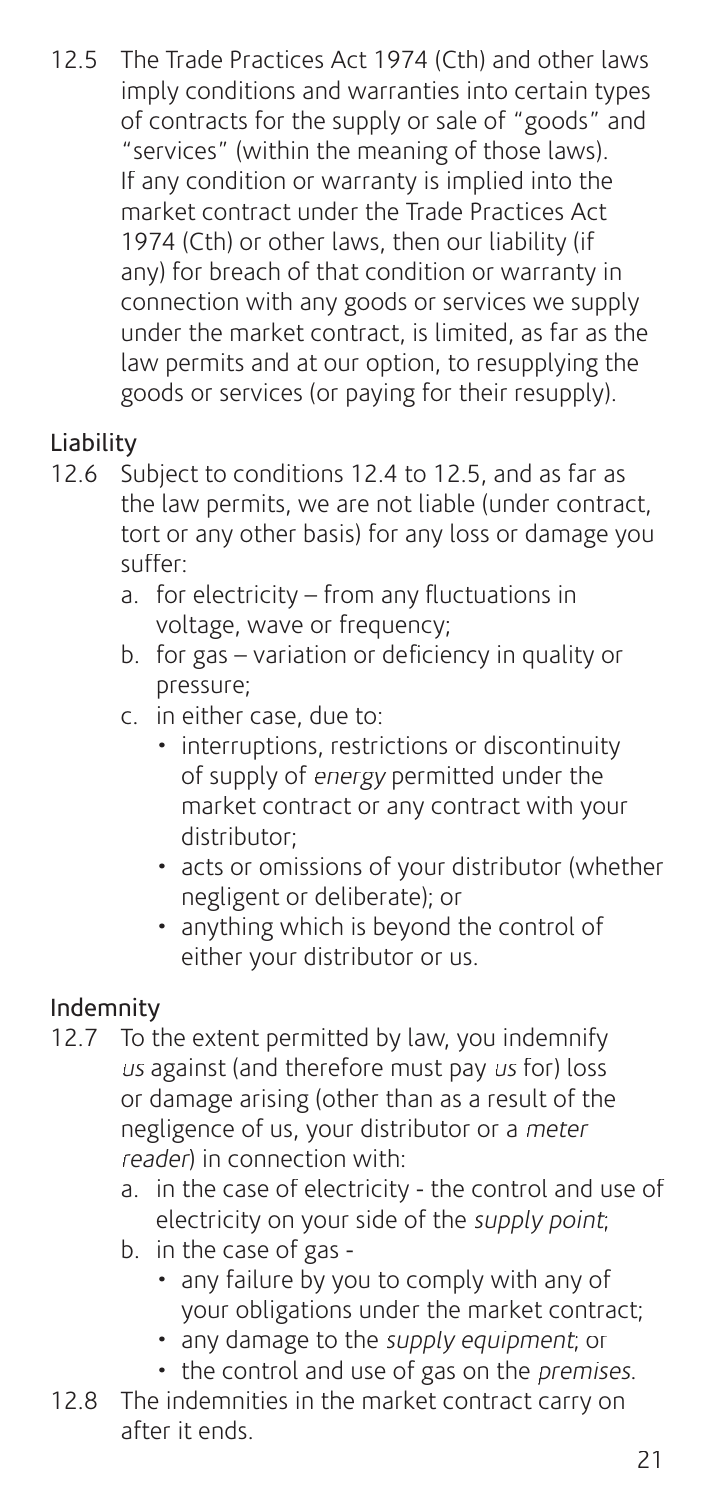12.5 The Trade Practices Act 1974 (Cth) and other laws imply conditions and warranties into certain types of contracts for the supply or sale of "goods" and "services" (within the meaning of those laws). If any condition or warranty is implied into the market contract under the Trade Practices Act 1974 (Cth) or other laws, then our liability (if any) for breach of that condition or warranty in connection with any goods or services we supply under the market contract, is limited, as far as the law permits and at our option, to resupplying the goods or services (or paying for their resupply).

## Liability

- 12.6 Subject to conditions 12.4 to 12.5, and as far as the law permits, we are not liable (under contract, tort or any other basis) for any loss or damage you suffer:
	- a. for electricity  $-$  from any fluctuations in voltage, wave or frequency;
	- b. for gas variation or deficiency in quality or pressure;
	- c. in either case, due to:
		- interruptions, restrictions or discontinuity of supply of energy permitted under the market contract or any contract with your distributor;
		- acts or omissions of your distributor (whether negligent or deliberate); or
		- anything which is beyond the control of either your distributor or us.

## Indemnity

- 12.7 To the extent permitted by law, you indemnify us against (and therefore must pay us for) loss or damage arising (other than as a result of the negligence of us, your distributor or a meter reader) in connection with:
	- a. in the case of electricity the control and use of electricity on your side of the supply point;
	- b. in the case of gas
		- any failure by you to comply with any of your obligations under the market contract;
		- any damage to the supply equipment; or
		- the control and use of gas on the *premises*.
- 12.8 The indemnities in the market contract carry on after it ends.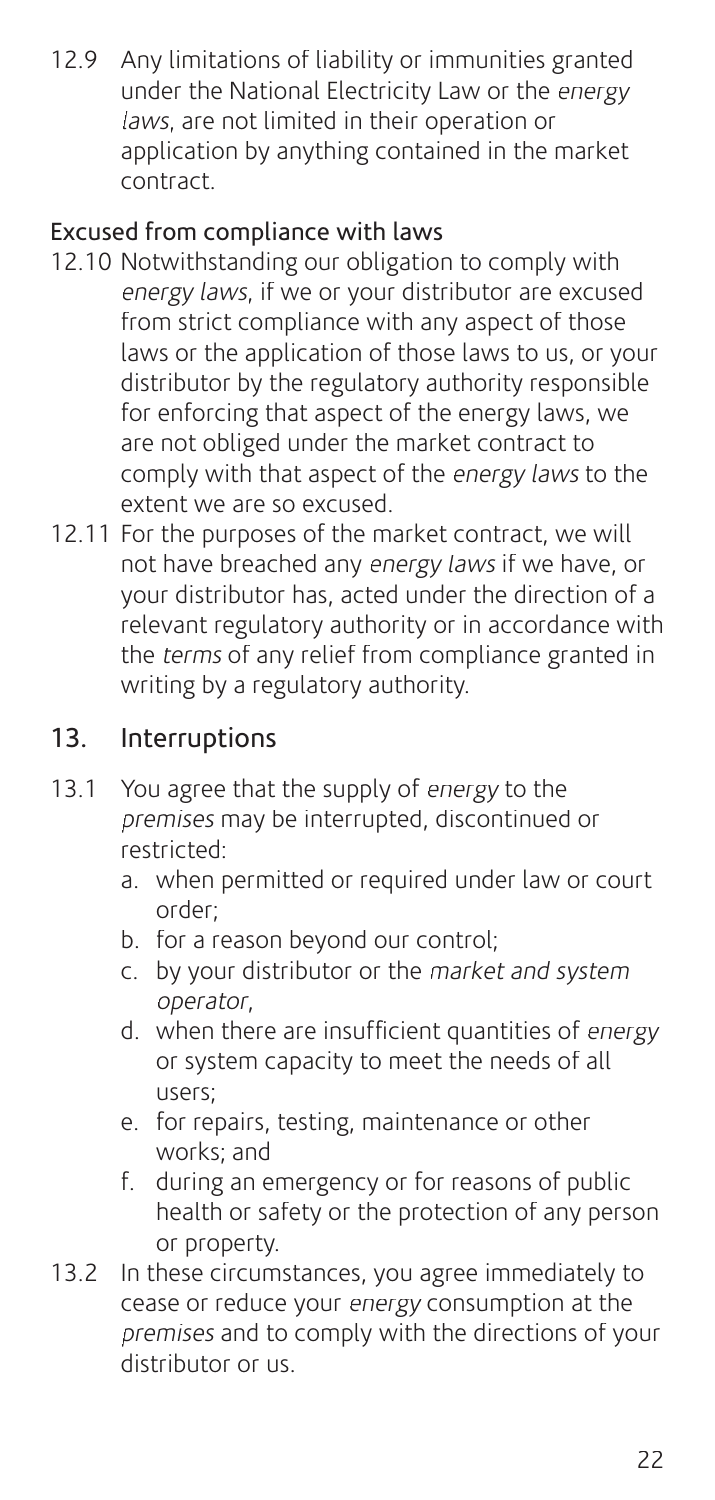12.9 Any limitations of liability or immunities granted under the National Electricity Law or the energy laws, are not limited in their operation or application by anything contained in the market contract.

## Excused from compliance with laws

- 12.10 Notwithstanding our obligation to comply with energy laws, if we or your distributor are excused from strict compliance with any aspect of those laws or the application of those laws to us, or your distributor by the regulatory authority responsible for enforcing that aspect of the energy laws, we are not obliged under the market contract to comply with that aspect of the energy laws to the extent we are so excused.
- 12.11 For the purposes of the market contract, we will not have breached any energy laws if we have, or your distributor has, acted under the direction of a relevant regulatory authority or in accordance with the terms of any relief from compliance granted in writing by a regulatory authority.

## 13. Interruptions

- 13.1 You agree that the supply of energy to the premises may be interrupted, discontinued or restricted:
	- a. when permitted or required under law or court order;
	- b. for a reason beyond our control;
	- c. by your distributor or the market and system operator,
	- d. when there are insufficient quantities of energy or system capacity to meet the needs of all users;
	- e. for repairs, testing, maintenance or other works; and
	- f. during an emergency or for reasons of public health or safety or the protection of any person or property.
- 13.2 In these circumstances, you agree immediately to cease or reduce your energy consumption at the premises and to comply with the directions of your distributor or us.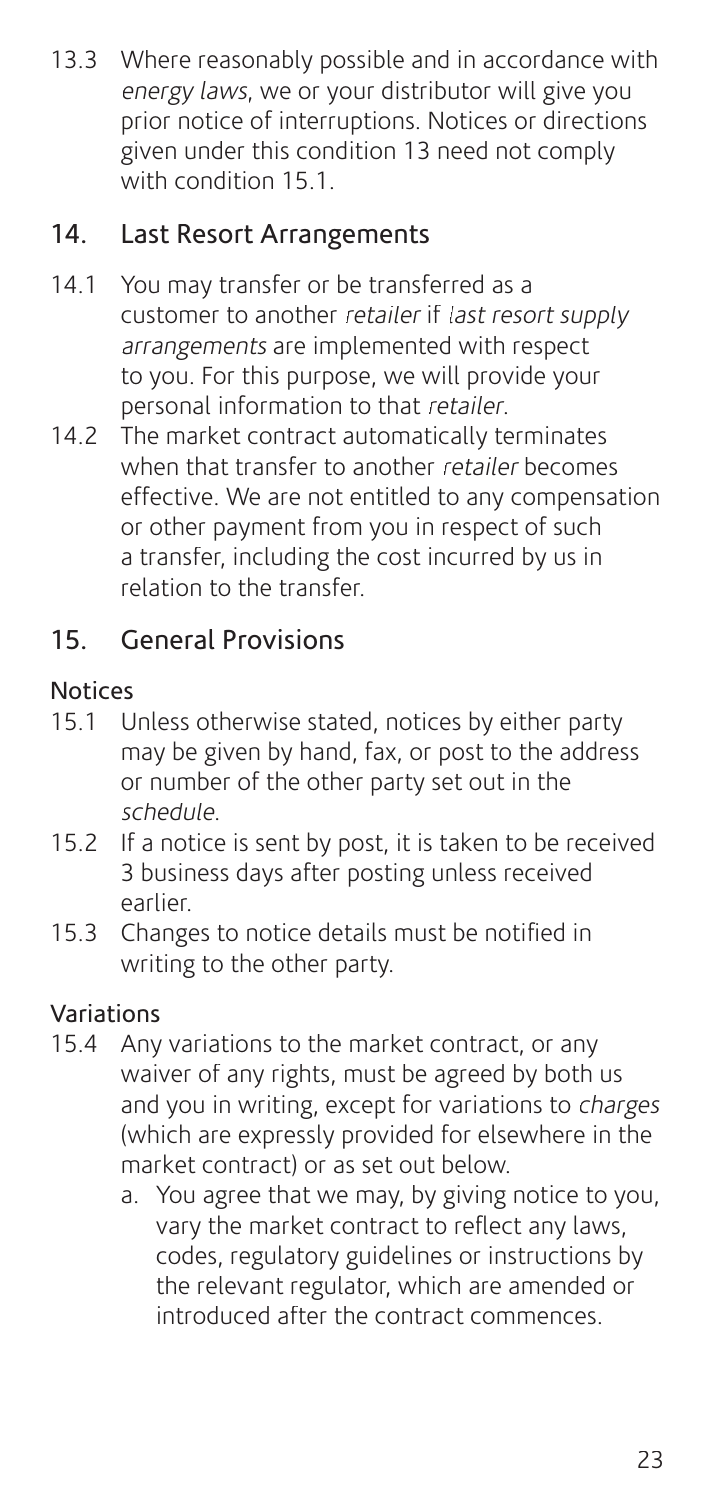13.3 Where reasonably possible and in accordance with energy laws, we or your distributor will give you prior notice of interruptions. Notices or directions given under this condition 13 need not comply with condition 15.1.

## 14. Last Resort Arrangements

- 14.1 You may transfer or be transferred as a customer to another retailer if last resort supply arrangements are implemented with respect to you. For this purpose, we will provide your personal information to that retailer.
- 14.2 The market contract automatically terminates when that transfer to another retailer becomes effective. We are not entitled to any compensation or other payment from you in respect of such a transfer, including the cost incurred by us in relation to the transfer.

## 15. General Provisions

#### **Notices**

- 15.1 Unless otherwise stated, notices by either party may be given by hand, fax, or post to the address or number of the other party set out in the schedule.
- 15.2 If a notice is sent by post, it is taken to be received 3 business days after posting unless received earlier.
- 15.3 Changes to notice details must be notified in writing to the other party.

## Variations

- 15.4 Any variations to the market contract, or any waiver of any rights, must be agreed by both us and you in writing, except for variations to charges (which are expressly provided for elsewhere in the market contract) or as set out below.
	- a. You agree that we may, by giving notice to you, vary the market contract to reflect any laws, codes, regulatory guidelines or instructions by the relevant regulator, which are amended or introduced after the contract commences.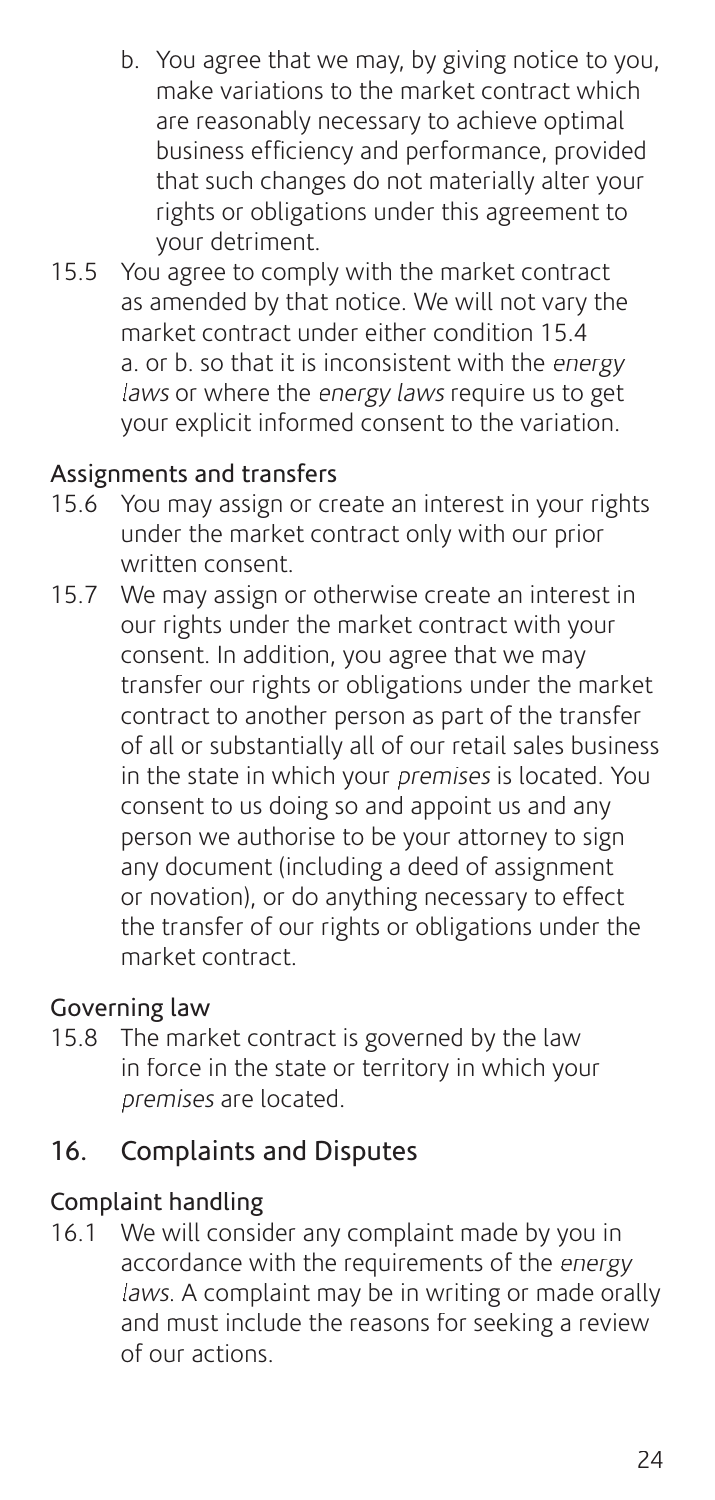- b. You agree that we may, by giving notice to you, make variations to the market contract which are reasonably necessary to achieve optimal business efficiency and performance, provided that such changes do not materially alter your rights or obligations under this agreement to your detriment.
- 15.5 You agree to comply with the market contract as amended by that notice. We will not vary the market contract under either condition 15.4 a. or b. so that it is inconsistent with the energy laws or where the energy laws require us to get your explicit informed consent to the variation.

#### Assignments and transfers

- 15.6 You may assign or create an interest in your rights under the market contract only with our prior written consent.
- 15.7 We may assign or otherwise create an interest in our rights under the market contract with your consent. In addition, you agree that we may transfer our rights or obligations under the market contract to another person as part of the transfer of all or substantially all of our retail sales business in the state in which your *premises* is located. You consent to us doing so and appoint us and any person we authorise to be your attorney to sign any document (including a deed of assignment or novation), or do anything necessary to effect the transfer of our rights or obligations under the market contract.

#### Governing law

15.8 The market contract is governed by the law in force in the state or territory in which your premises are located.

## 16. Complaints and Disputes

#### Complaint handling

16.1 We will consider any complaint made by you in accordance with the requirements of the energy laws. A complaint may be in writing or made orally and must include the reasons for seeking a review of our actions.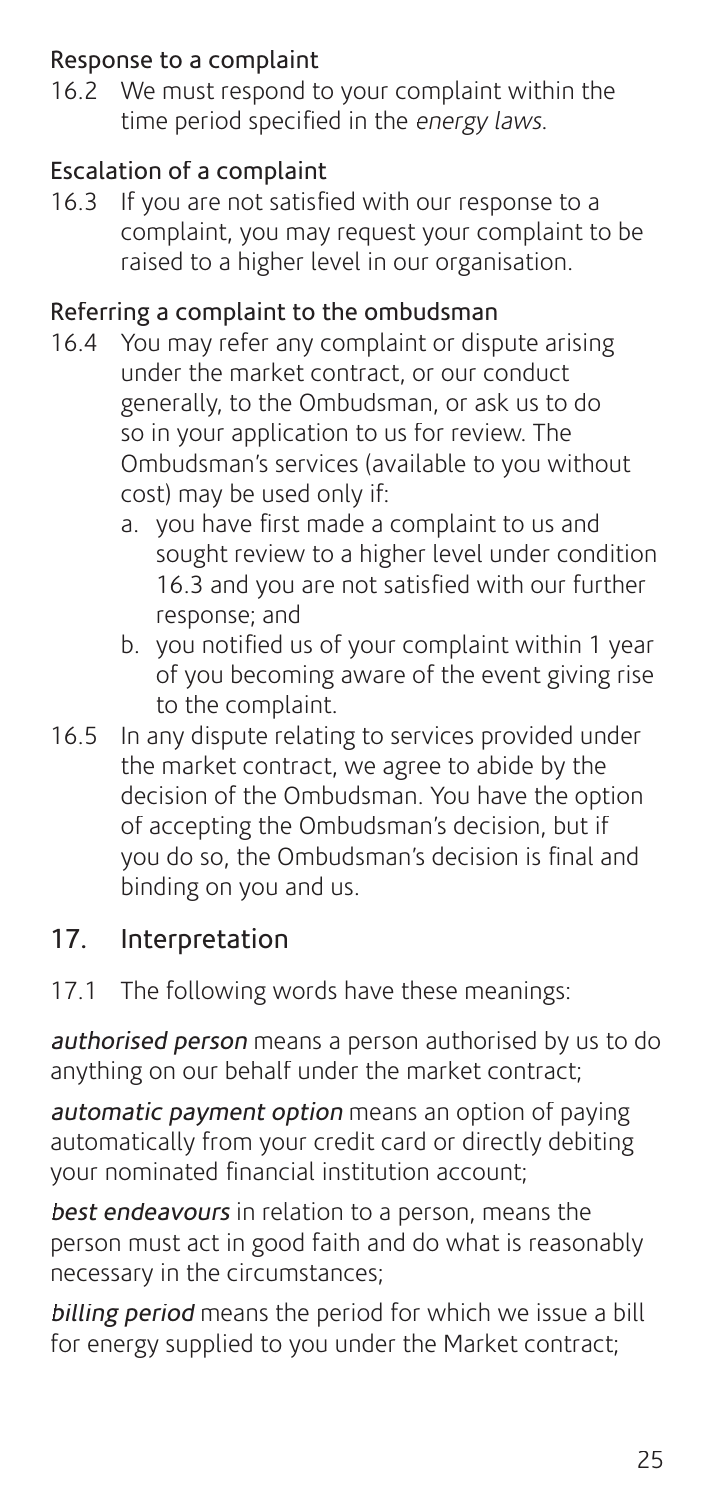#### Response to a complaint

16.2 We must respond to your complaint within the time period specified in the *energy laws*.

### Escalation of a complaint

16.3 If you are not satisfied with our response to a complaint, you may request your complaint to be raised to a higher level in our organisation.

#### Referring a complaint to the ombudsman

- 16.4 You may refer any complaint or dispute arising under the market contract, or our conduct generally, to the Ombudsman, or ask us to do so in your application to us for review. The Ombudsman's services (available to you without cost) may be used only if:
	- a. you have first made a complaint to us and sought review to a higher level under condition 16.3 and you are not satisfied with our further response; and
	- b. you notified us of your complaint within 1 year of you becoming aware of the event giving rise to the complaint.
- 16.5 In any dispute relating to services provided under the market contract, we agree to abide by the decision of the Ombudsman. You have the option of accepting the Ombudsman's decision, but if you do so, the Ombudsman's decision is final and binding on you and us.

## 17. Interpretation

17.1 The following words have these meanings:

authorised person means a person authorised by us to do anything on our behalf under the market contract;

automatic payment option means an option of paying automatically from your credit card or directly debiting your nominated financial institution account:

best endeavours in relation to a person, means the person must act in good faith and do what is reasonably necessary in the circumstances;

billing period means the period for which we issue a bill for energy supplied to you under the Market contract;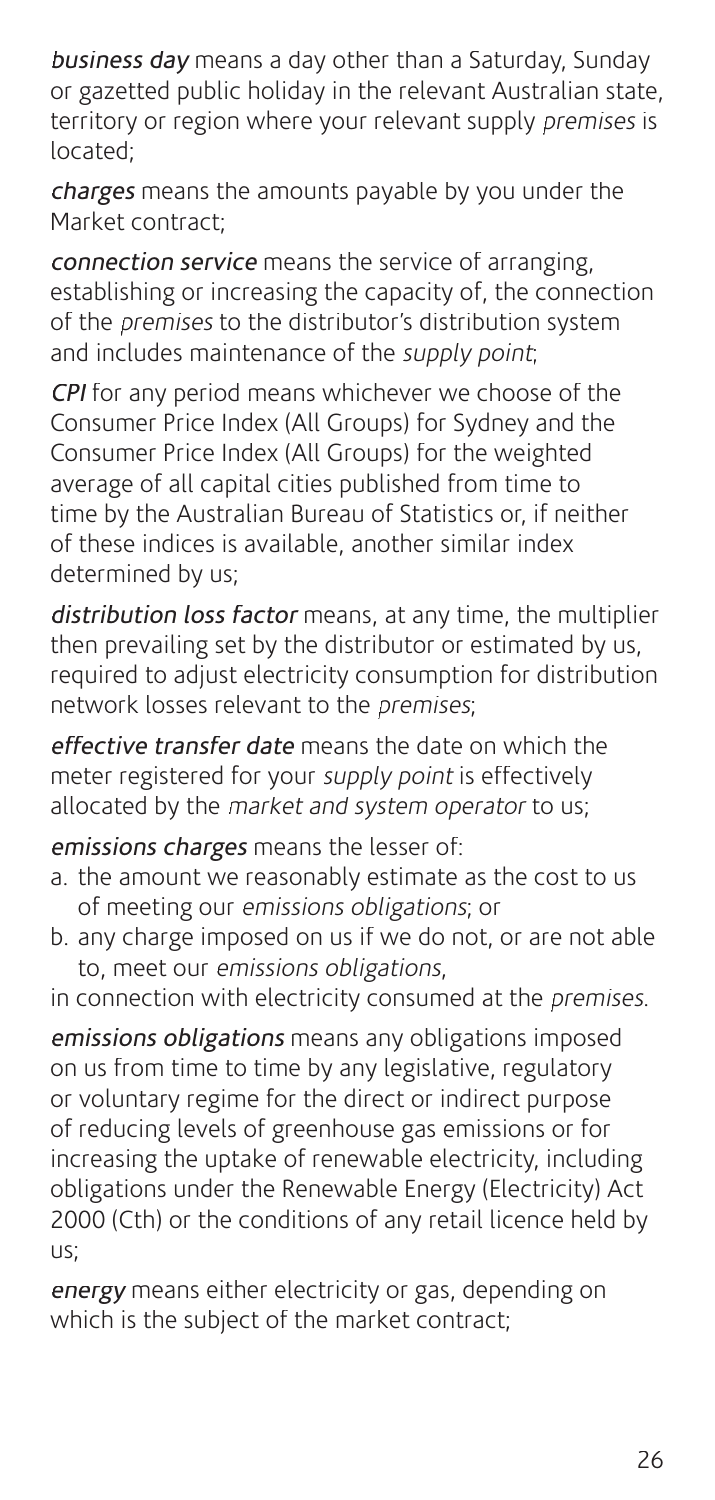business day means a day other than a Saturday, Sunday or gazetted public holiday in the relevant Australian state, territory or region where your relevant supply premises is located;

charges means the amounts payable by you under the Market contract;

connection service means the service of arranging, establishing or increasing the capacity of, the connection of the premises to the distributor's distribution system and includes maintenance of the supply point;

CPI for any period means whichever we choose of the Consumer Price Index (All Groups) for Sydney and the Consumer Price Index (All Groups) for the weighted average of all capital cities published from time to time by the Australian Bureau of Statistics or, if neither of these indices is available, another similar index determined by us;

distribution loss facton means, at any time, the multiplier then prevailing set by the distributor or estimated by us, required to adjust electricity consumption for distribution network losses relevant to the premises;

effective transfer date means the date on which the meter registered for your *supply point* is effectively allocated by the market and system operator to us:

emissions charges means the lesser of:

- a. the amount we reasonably estimate as the cost to us of meeting our emissions obligations; or
- b. any charge imposed on us if we do not, or are not able to, meet our emissions obligations,

in connection with electricity consumed at the premises.

emissions obligations means any obligations imposed on us from time to time by any legislative, regulatory or voluntary regime for the direct or indirect purpose of reducing levels of greenhouse gas emissions or for increasing the uptake of renewable electricity, including obligations under the Renewable Energy (Electricity) Act 2000 (Cth) or the conditions of any retail licence held by us;

energy means either electricity or gas, depending on which is the subject of the market contract: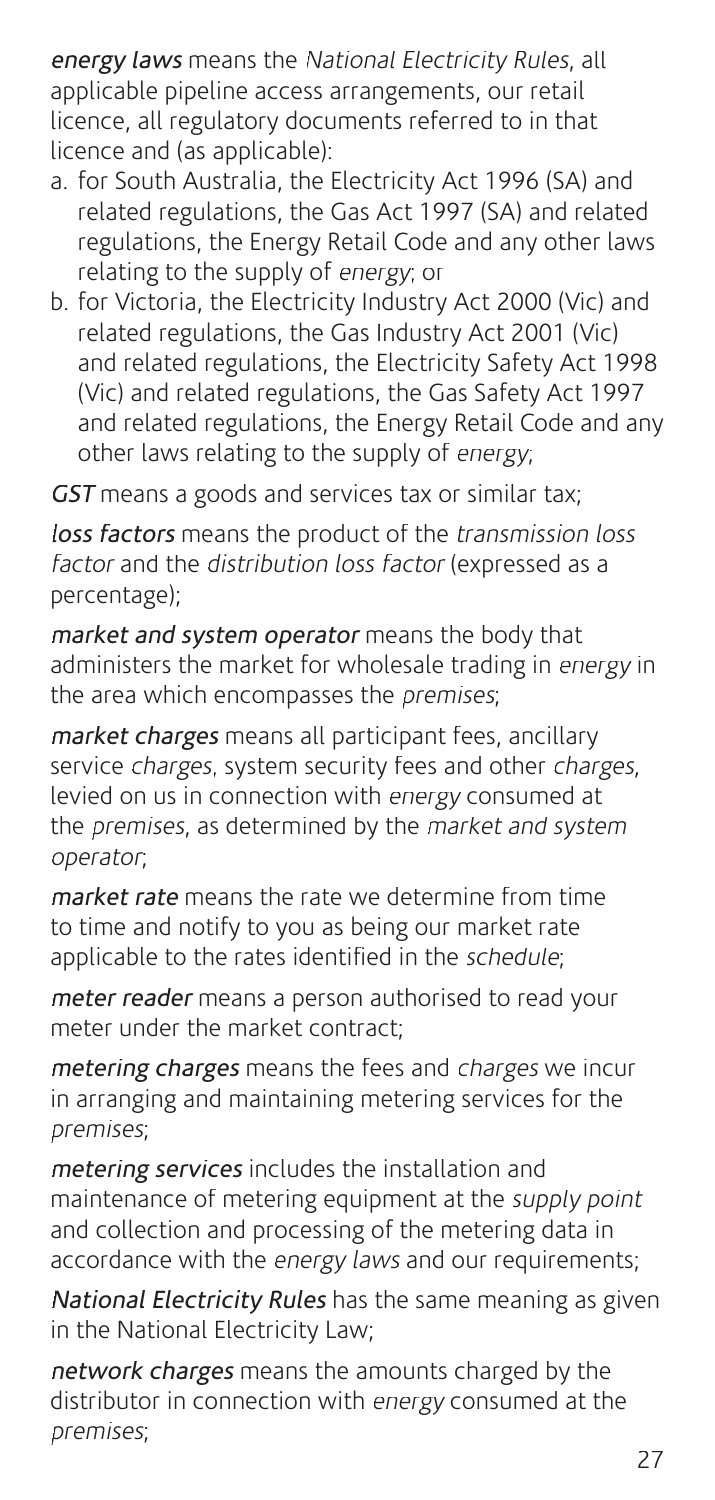energy laws means the National Electricity Rules, all applicable pipeline access arrangements, our retail licence, all regulatory documents referred to in that licence and (as applicable):

- a. for South Australia, the Electricity Act 1996 (SA) and related regulations, the Gas Act 1997 (SA) and related regulations, the Energy Retail Code and any other laws relating to the supply of energy; or
- b. for Victoria, the Electricity Industry Act 2000 (Vic) and related regulations, the Gas Industry Act 2001 (Vic) and related regulations, the Electricity Safety Act 1998 (Vic) and related regulations, the Gas Safety Act 1997 and related regulations, the Energy Retail Code and any other laws relating to the supply of energy;

GST means a goods and services tax or similar tax;

loss factors means the product of the transmission loss factor and the distribution loss factor (expressed as a percentage);

market and system operator means the body that administers the market for wholesale trading in energy in the area which encompasses the premises;

market charges means all participant fees, ancillary service charges, system security fees and other charges, levied on us in connection with energy consumed at the *premises*, as determined by the *market and system* operator;

market rate means the rate we determine from time to time and notify to you as being our market rate applicable to the rates identified in the schedule:

meter readed means a person authorised to read your meter under the market contract;

metering charges means the fees and charges we incur in arranging and maintaining metering services for the premises;

metering services includes the installation and maintenance of metering equipment at the supply point and collection and processing of the metering data in accordance with the *energy laws* and our requirements;

National Electricity Rules has the same meaning as given in the National Electricity Law;

network charges means the amounts charged by the distributor in connection with energy consumed at the premises;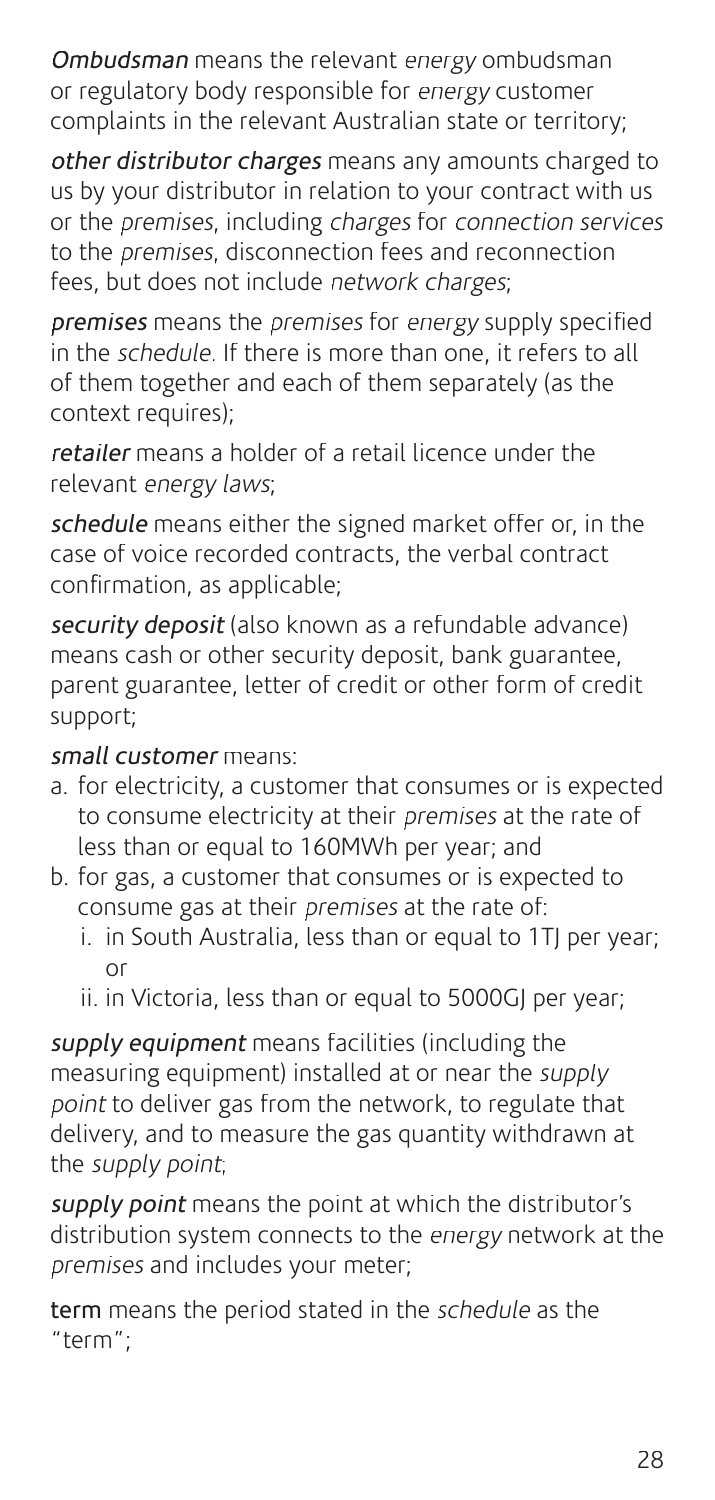Ombudsman means the relevant energy ombudsman or regulatory body responsible for energy customer complaints in the relevant Australian state or territory;

other distributor charges means any amounts charged to us by your distributor in relation to your contract with us or the premises, including charges for connection services to the premises, disconnection fees and reconnection fees, but does not include network charges;

premises means the premises for energy supply specified in the schedule. If there is more than one, it refers to all of them together and each of them separately (as the context requires);

retailed means a holder of a retail licence under the relevant energy laws;

schedule means either the signed market offer or, in the case of voice recorded contracts, the verbal contract confirmation, as applicable;

security deposit (also known as a refundable advance) means cash or other security deposit, bank guarantee, parent guarantee, letter of credit or other form of credit support;

#### small customer means:

- a. for electricity, a customer that consumes or is expected to consume electricity at their premises at the rate of less than or equal to 160MWh per year; and
- b. for gas, a customer that consumes or is expected to consume gas at their premises at the rate of:
	- i. in South Australia, less than or equal to 1TJ per year; or
	- ii. in Victoria, less than or equal to 5000GJ per year;

supply equipment means facilities (including the measuring equipment) installed at or near the supply point to deliver gas from the network, to regulate that delivery, and to measure the gas quantity withdrawn at the supply point;

supply point means the point at which the distributor's distribution system connects to the energy network at the premises and includes your meter;

term means the period stated in the schedule as the "term";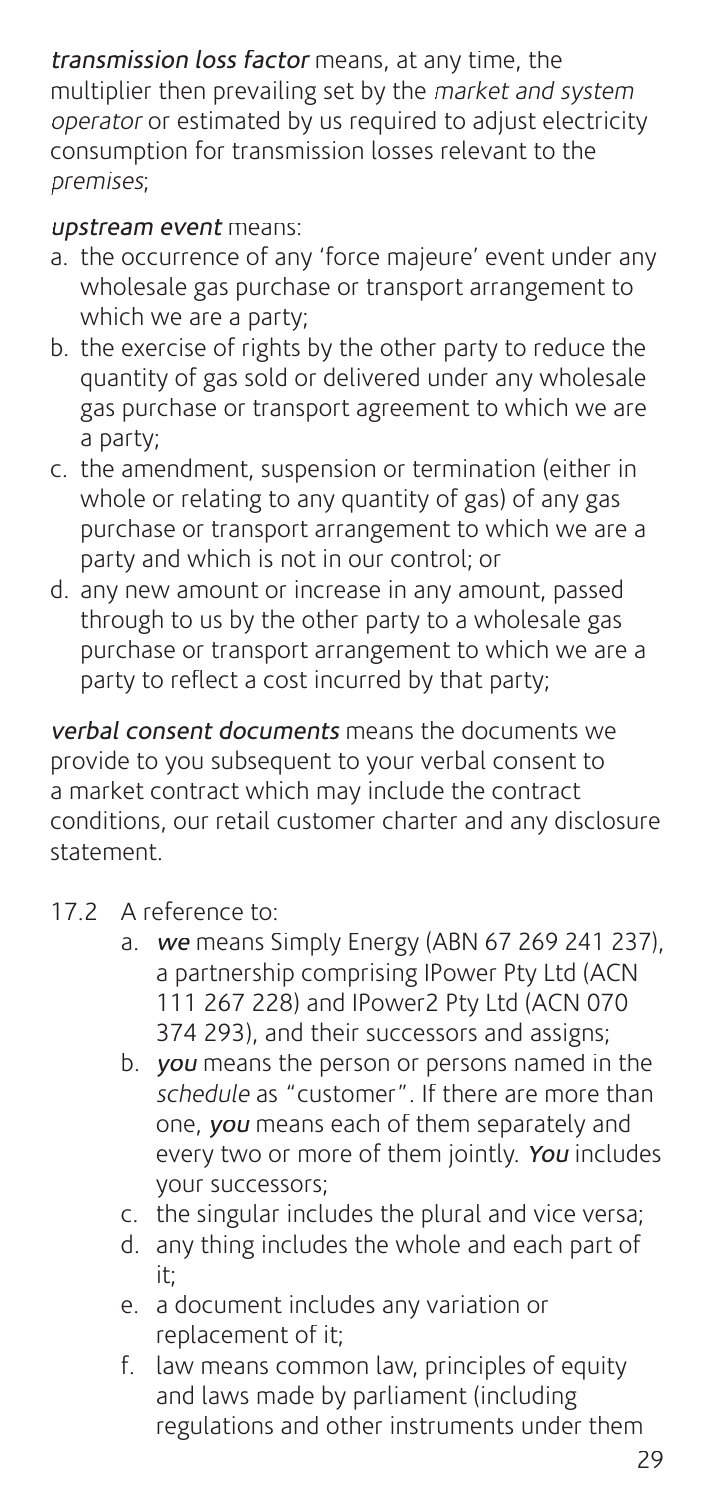transmission loss factor means, at any time, the multiplier then prevailing set by the market and system operator or estimated by us required to adjust electricity consumption for transmission losses relevant to the premises;

#### upstream event means:

- a. the occurrence of any 'force majeure' event under any wholesale gas purchase or transport arrangement to which we are a party;
- b. the exercise of rights by the other party to reduce the quantity of gas sold or delivered under any wholesale gas purchase or transport agreement to which we are a party;
- c. the amendment, suspension or termination (either in whole or relating to any quantity of gas) of any gas purchase or transport arrangement to which we are a party and which is not in our control; or
- d. any new amount or increase in any amount, passed through to us by the other party to a wholesale gas purchase or transport arrangement to which we are a party to reflect a cost incurred by that party;

verbal consent documents means the documents we provide to you subsequent to your verbal consent to a market contract which may include the contract conditions, our retail customer charter and any disclosure statement.

- 17.2 A reference to:
	- a. we means Simply Energy (ABN 67 269 241 237), a partnership comprising IPower Pty Ltd (ACN 111 267 228) and IPower2 Pty Ltd (ACN 070 374 293), and their successors and assigns;
	- b. you means the person or persons named in the schedule as "customer". If there are more than one, you means each of them separately and every two or more of them jointly. You includes your successors;
	- c. the singular includes the plural and vice versa;
	- d. any thing includes the whole and each part of it;
	- e. a document includes any variation or replacement of it;
	- f. law means common law, principles of equity and laws made by parliament (including regulations and other instruments under them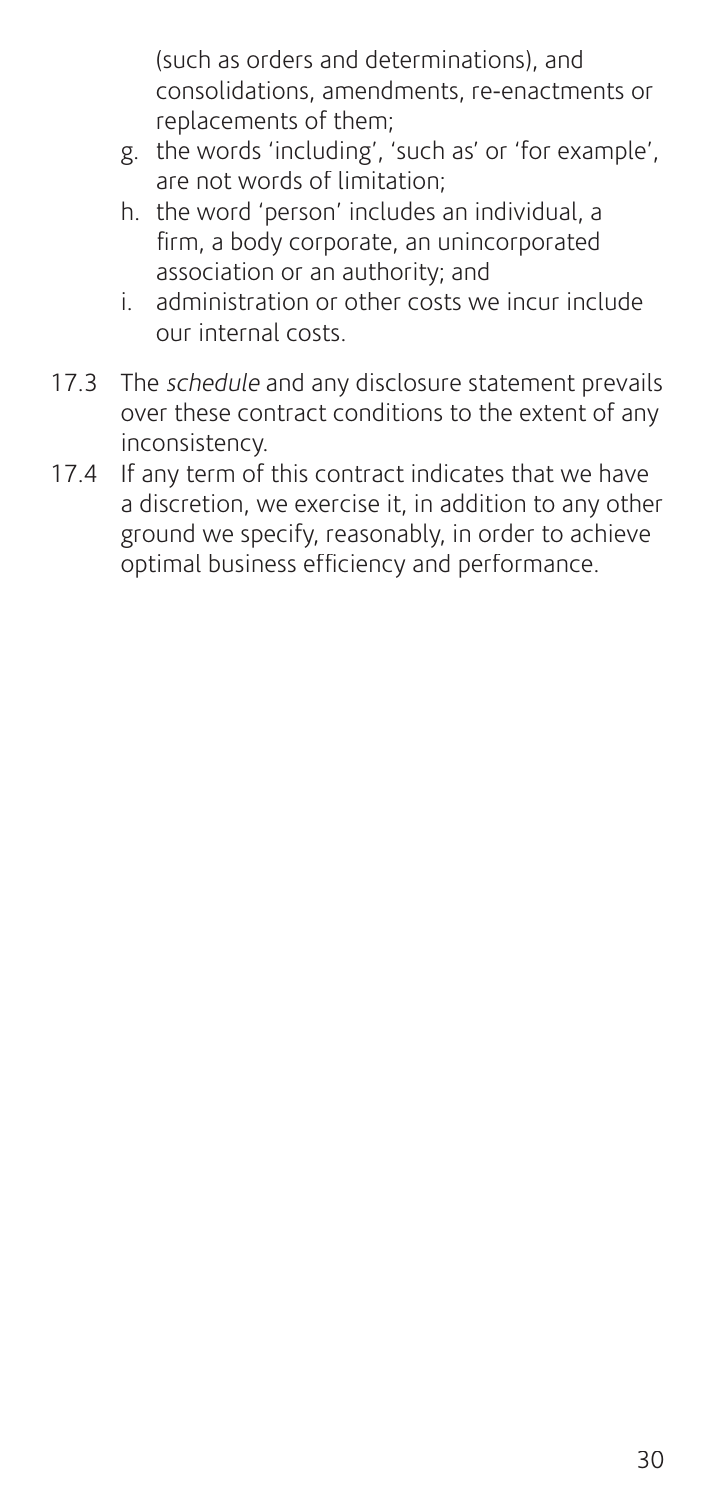(such as orders and determinations), and consolidations, amendments, re-enactments or replacements of them;

- g. the words 'including', 'such as' or 'for example', are not words of limitation;
- h. the word 'person' includes an individual, a firm, a body corporate, an unincorporated association or an authority; and
- i. administration or other costs we incur include our internal costs.
- 17.3 The schedule and any disclosure statement prevails over these contract conditions to the extent of any inconsistency.
- 17.4 If any term of this contract indicates that we have a discretion, we exercise it, in addition to any other ground we specify, reasonably, in order to achieve optimal business efficiency and performance.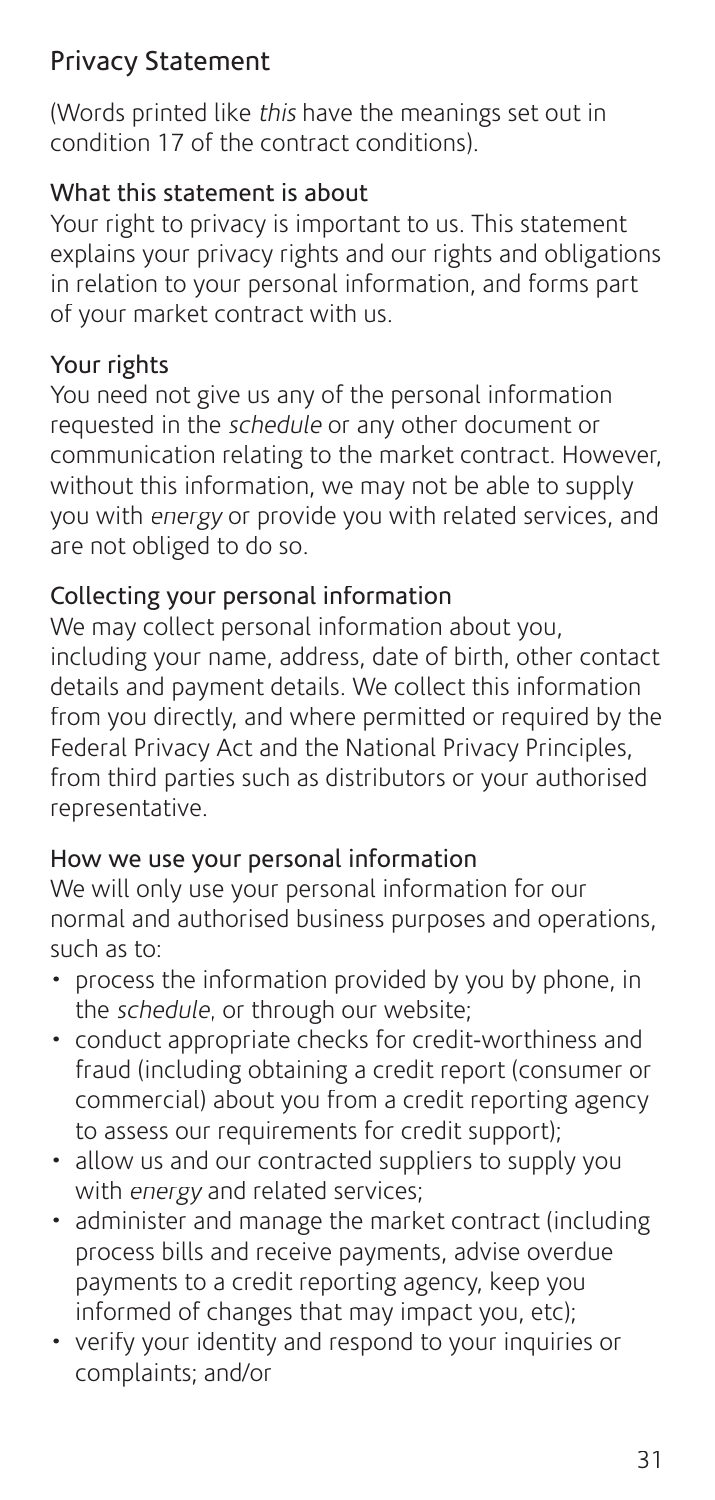## Privacy Statement

(Words printed like this have the meanings set out in condition 17 of the contract conditions).

## What this statement is about

Your right to privacy is important to us. This statement explains your privacy rights and our rights and obligations in relation to your personal information, and forms part of your market contract with us.

## Your rights

You need not give us any of the personal information requested in the schedule or any other document or communication relating to the market contract. However, without this information, we may not be able to supply you with energy or provide you with related services, and are not obliged to do so.

## Collecting your personal information

We may collect personal information about you, including your name, address, date of birth, other contact details and payment details. We collect this information from you directly, and where permitted or required by the Federal Privacy Act and the National Privacy Principles, from third parties such as distributors or your authorised representative.

#### How we use your personal information

We will only use your personal information for our normal and authorised business purposes and operations, such as to:

- process the information provided by you by phone, in the *schedule*, or through our website;
- conduct appropriate checks for credit-worthiness and fraud (including obtaining a credit report (consumer or commercial) about you from a credit reporting agency to assess our requirements for credit support);
- allow us and our contracted suppliers to supply you with energy and related services;
- administer and manage the market contract (including process bills and receive payments, advise overdue payments to a credit reporting agency, keep you informed of changes that may impact you, etc);
- verify your identity and respond to your inquiries or complaints; and/or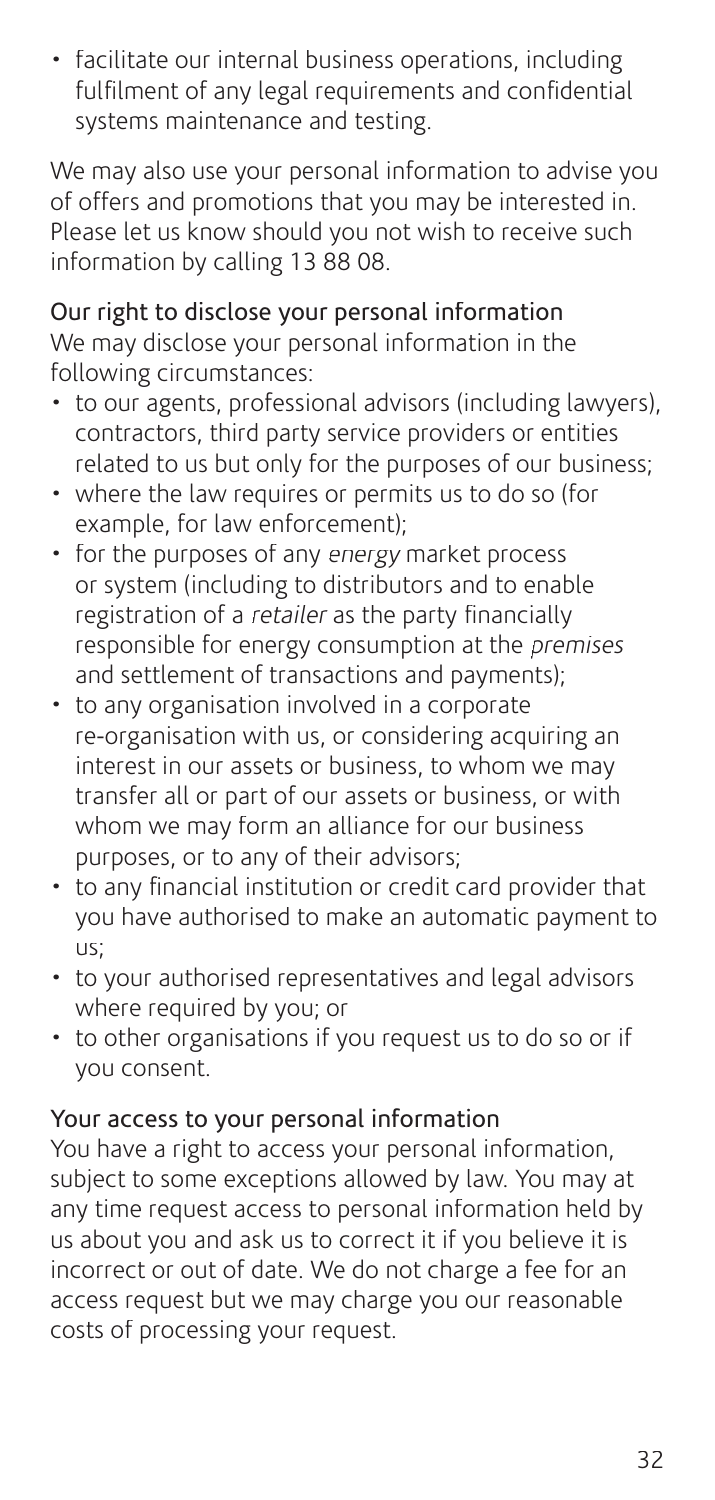• facilitate our internal business operations, including fulfilment of any legal requirements and confidential systems maintenance and testing.

We may also use your personal information to advise you of offers and promotions that you may be interested in. Please let us know should you not wish to receive such information by calling 13 88 08.

Our right to disclose your personal information We may disclose your personal information in the following circumstances:

- to our agents, professional advisors (including lawyers), contractors, third party service providers or entities related to us but only for the purposes of our business;
- where the law requires or permits us to do so (for example, for law enforcement);
- for the purposes of any energy market process or system (including to distributors and to enable registration of a retailer as the party financially responsible for energy consumption at the premises and settlement of transactions and payments);
- to any organisation involved in a corporate re-organisation with us, or considering acquiring an interest in our assets or business, to whom we may transfer all or part of our assets or business, or with whom we may form an alliance for our business purposes, or to any of their advisors;
- to any financial institution or credit card provider that you have authorised to make an automatic payment to us;
- to your authorised representatives and legal advisors where required by you; or
- to other organisations if you request us to do so or if you consent.

## Your access to your personal information

You have a right to access your personal information, subject to some exceptions allowed by law. You may at any time request access to personal information held by us about you and ask us to correct it if you believe it is incorrect or out of date. We do not charge a fee for an access request but we may charge you our reasonable costs of processing your request.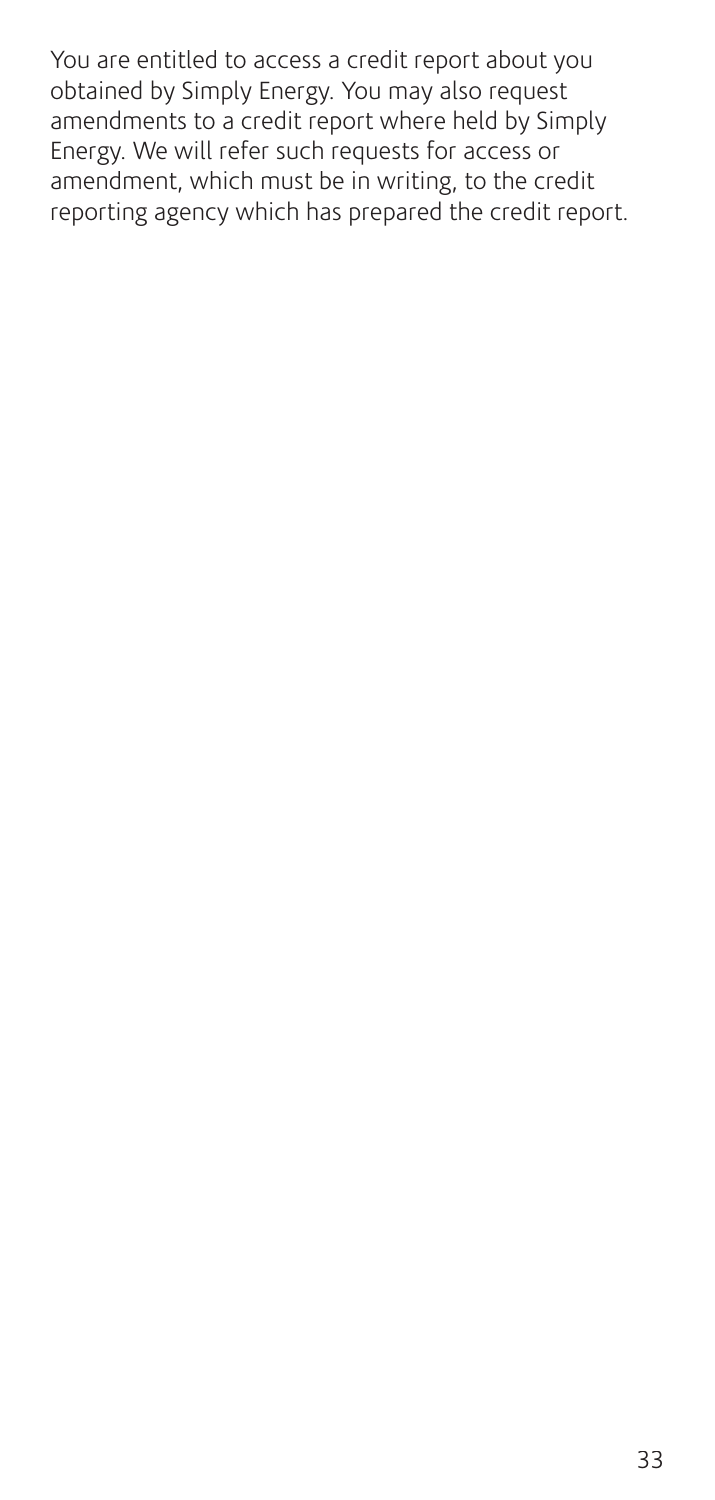You are entitled to access a credit report about you obtained by Simply Energy. You may also request amendments to a credit report where held by Simply Energy. We will refer such requests for access or amendment, which must be in writing, to the credit reporting agency which has prepared the credit report.